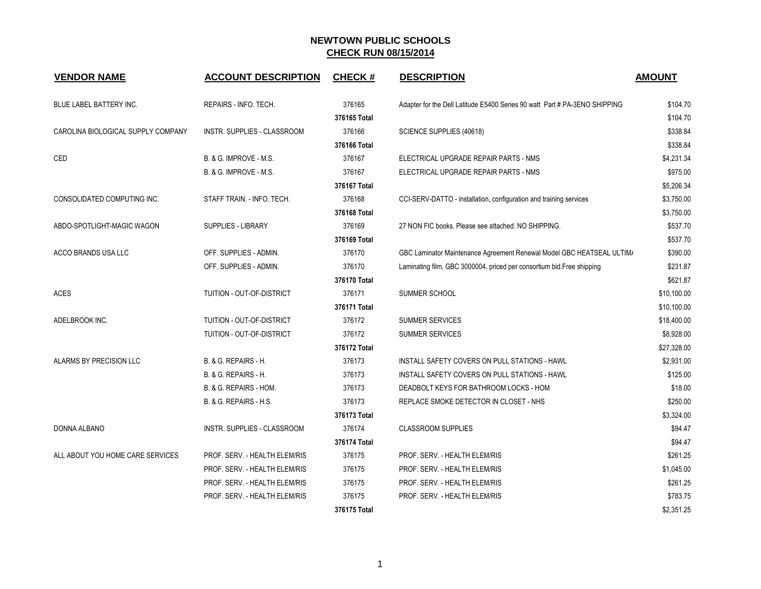| <b>VENDOR NAME</b>                 | <b>ACCOUNT DESCRIPTION</b>    | <b>CHECK#</b> | <b>DESCRIPTION</b>                                                         | <b>AMOUNT</b> |
|------------------------------------|-------------------------------|---------------|----------------------------------------------------------------------------|---------------|
| <b>BLUE LABEL BATTERY INC.</b>     | REPAIRS - INFO. TECH.         | 376165        | Adapter for the Dell Latitude E5400 Series 90 watt Part # PA-3ENO SHIPPING | \$104.70      |
|                                    |                               | 376165 Total  |                                                                            | \$104.70      |
| CAROLINA BIOLOGICAL SUPPLY COMPANY | INSTR. SUPPLIES - CLASSROOM   | 376166        | SCIENCE SUPPLIES (40618)                                                   | \$338.84      |
|                                    |                               | 376166 Total  |                                                                            | \$338.84      |
| CED                                | B. & G. IMPROVE - M.S.        | 376167        | ELECTRICAL UPGRADE REPAIR PARTS - NMS                                      | \$4,231.34    |
|                                    | B. & G. IMPROVE - M.S.        | 376167        | ELECTRICAL UPGRADE REPAIR PARTS - NMS                                      | \$975.00      |
|                                    |                               | 376167 Total  |                                                                            | \$5,206.34    |
| CONSOLIDATED COMPUTING INC.        | STAFF TRAIN. - INFO. TECH.    | 376168        | CCI-SERV-DATTO - installation, configuration and training services         | \$3,750.00    |
|                                    |                               | 376168 Total  |                                                                            | \$3,750.00    |
| ABDO-SPOTLIGHT-MAGIC WAGON         | <b>SUPPLIES - LIBRARY</b>     | 376169        | 27 NON FIC books. Please see attached. NO SHIPPING.                        | \$537.70      |
|                                    |                               | 376169 Total  |                                                                            | \$537.70      |
| ACCO BRANDS USA LLC                | OFF. SUPPLIES - ADMIN.        | 376170        | GBC Laminator Maintenance Agreement Renewal Model GBC HEATSEAL ULTIM/      | \$390.00      |
|                                    | OFF. SUPPLIES - ADMIN.        | 376170        | Laminating film, GBC 3000004, priced per consortium bid. Free shipping     | \$231.87      |
|                                    |                               | 376170 Total  |                                                                            | \$621.87      |
| <b>ACES</b>                        | TUITION - OUT-OF-DISTRICT     | 376171        | SUMMER SCHOOL                                                              | \$10,100.00   |
|                                    |                               | 376171 Total  |                                                                            | \$10,100.00   |
| ADELBROOK INC.                     | TUITION - OUT-OF-DISTRICT     | 376172        | <b>SUMMER SERVICES</b>                                                     | \$18,400.00   |
|                                    | TUITION - OUT-OF-DISTRICT     | 376172        | <b>SUMMER SERVICES</b>                                                     | \$8,928.00    |
|                                    |                               | 376172 Total  |                                                                            | \$27,328.00   |
| ALARMS BY PRECISION LLC            | B. & G. REPAIRS - H.          | 376173        | INSTALL SAFETY COVERS ON PULL STATIONS - HAWL                              | \$2,931.00    |
|                                    | B. & G. REPAIRS - H.          | 376173        | INSTALL SAFETY COVERS ON PULL STATIONS - HAWL                              | \$125.00      |
|                                    | B. & G. REPAIRS - HOM.        | 376173        | DEADBOLT KEYS FOR BATHROOM LOCKS - HOM                                     | \$18.00       |
|                                    | B. & G. REPAIRS - H.S.        | 376173        | REPLACE SMOKE DETECTOR IN CLOSET - NHS                                     | \$250.00      |
|                                    |                               | 376173 Total  |                                                                            | \$3,324.00    |
| DONNA ALBANO                       | INSTR. SUPPLIES - CLASSROOM   | 376174        | <b>CLASSROOM SUPPLIES</b>                                                  | \$94.47       |
|                                    |                               | 376174 Total  |                                                                            | \$94.47       |
| ALL ABOUT YOU HOME CARE SERVICES   | PROF. SERV. - HEALTH ELEM/RIS | 376175        | PROF. SERV. - HEALTH ELEM/RIS                                              | \$261.25      |
|                                    | PROF. SERV. - HEALTH ELEM/RIS | 376175        | PROF. SERV. - HEALTH ELEM/RIS                                              | \$1,045.00    |
|                                    | PROF. SERV. - HEALTH ELEM/RIS | 376175        | PROF. SERV. - HEALTH ELEM/RIS                                              | \$261.25      |
|                                    | PROF. SERV. - HEALTH ELEM/RIS | 376175        | PROF. SERV. - HEALTH ELEM/RIS                                              | \$783.75      |
|                                    |                               | 376175 Total  |                                                                            | \$2,351.25    |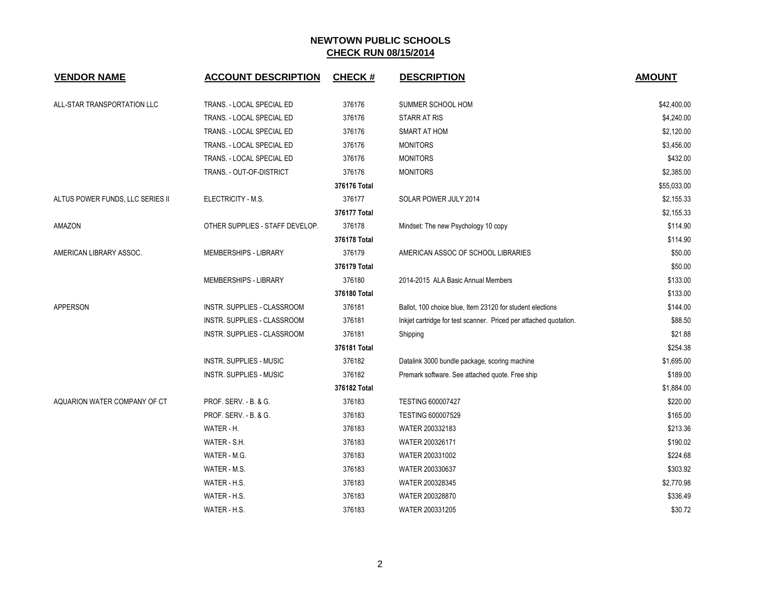| <b>VENDOR NAME</b>               | <b>ACCOUNT DESCRIPTION</b>         | <b>CHECK#</b> | <b>DESCRIPTION</b>                                                | <b>AMOUNT</b> |
|----------------------------------|------------------------------------|---------------|-------------------------------------------------------------------|---------------|
|                                  |                                    |               |                                                                   |               |
| ALL-STAR TRANSPORTATION LLC      | TRANS. - LOCAL SPECIAL ED          | 376176        | SUMMER SCHOOL HOM                                                 | \$42,400.00   |
|                                  | TRANS. - LOCAL SPECIAL ED          | 376176        | <b>STARR AT RIS</b>                                               | \$4,240.00    |
|                                  | TRANS. - LOCAL SPECIAL ED          | 376176        | SMART AT HOM                                                      | \$2,120.00    |
|                                  | TRANS. - LOCAL SPECIAL ED          | 376176        | <b>MONITORS</b>                                                   | \$3,456.00    |
|                                  | TRANS. - LOCAL SPECIAL ED          | 376176        | <b>MONITORS</b>                                                   | \$432.00      |
|                                  | TRANS. - OUT-OF-DISTRICT           | 376176        | <b>MONITORS</b>                                                   | \$2,385.00    |
|                                  |                                    | 376176 Total  |                                                                   | \$55,033.00   |
| ALTUS POWER FUNDS, LLC SERIES II | ELECTRICITY - M.S.                 | 376177        | SOLAR POWER JULY 2014                                             | \$2,155.33    |
|                                  |                                    | 376177 Total  |                                                                   | \$2,155.33    |
| AMAZON                           | OTHER SUPPLIES - STAFF DEVELOP.    | 376178        | Mindset: The new Psychology 10 copy                               | \$114.90      |
|                                  |                                    | 376178 Total  |                                                                   | \$114.90      |
| AMERICAN LIBRARY ASSOC.          | MEMBERSHIPS - LIBRARY              | 376179        | AMERICAN ASSOC OF SCHOOL LIBRARIES                                | \$50.00       |
|                                  |                                    | 376179 Total  |                                                                   | \$50.00       |
|                                  | MEMBERSHIPS - LIBRARY              | 376180        | 2014-2015 ALA Basic Annual Members                                | \$133.00      |
|                                  |                                    | 376180 Total  |                                                                   | \$133.00      |
| <b>APPERSON</b>                  | <b>INSTR. SUPPLIES - CLASSROOM</b> | 376181        | Ballot, 100 choice blue, Item 23120 for student elections         | \$144.00      |
|                                  | INSTR. SUPPLIES - CLASSROOM        | 376181        | Inkjet cartridge for test scanner. Priced per attached quotation. | \$88.50       |
|                                  | INSTR. SUPPLIES - CLASSROOM        | 376181        | Shipping                                                          | \$21.88       |
|                                  |                                    | 376181 Total  |                                                                   | \$254.38      |
|                                  | <b>INSTR. SUPPLIES - MUSIC</b>     | 376182        | Datalink 3000 bundle package, scoring machine                     | \$1,695.00    |
|                                  | INSTR. SUPPLIES - MUSIC            | 376182        | Premark software. See attached quote. Free ship                   | \$189.00      |
|                                  |                                    | 376182 Total  |                                                                   | \$1,884.00    |
| AQUARION WATER COMPANY OF CT     | <b>PROF. SERV. - B. &amp; G.</b>   | 376183        | <b>TESTING 600007427</b>                                          | \$220.00      |
|                                  | <b>PROF. SERV. - B. &amp; G.</b>   | 376183        | <b>TESTING 600007529</b>                                          | \$165.00      |
|                                  | WATER - H.                         | 376183        | WATER 200332183                                                   | \$213.36      |
|                                  | WATER - S.H.                       | 376183        | WATER 200326171                                                   | \$190.02      |
|                                  | WATER - M.G.                       | 376183        | WATER 200331002                                                   | \$224.68      |
|                                  | WATER - M.S.                       | 376183        | WATER 200330637                                                   | \$303.92      |
|                                  | WATER - H.S.                       | 376183        | WATER 200328345                                                   | \$2,770.98    |
|                                  | WATER - H.S.                       | 376183        | WATER 200328870                                                   | \$336.49      |
|                                  | WATER - H.S.                       | 376183        | WATER 200331205                                                   | \$30.72       |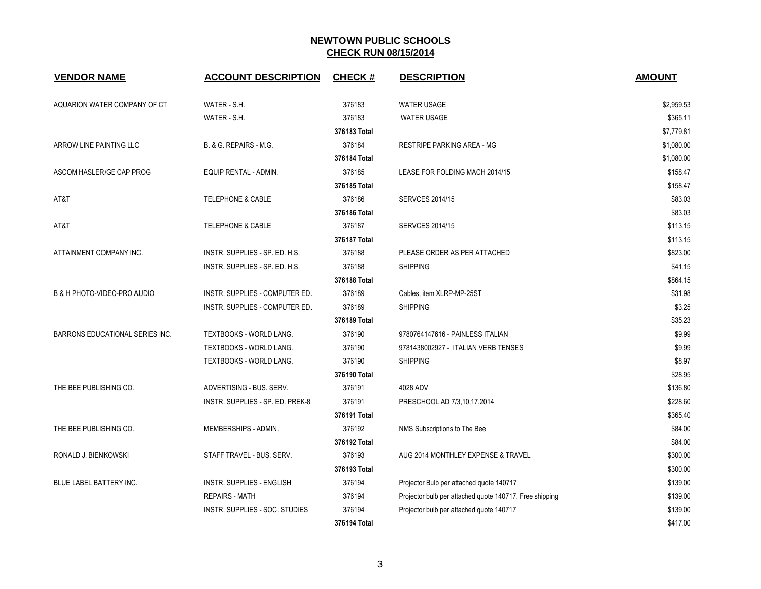| <b>VENDOR NAME</b>                     | <b>ACCOUNT DESCRIPTION</b>       | <b>CHECK#</b> | <b>DESCRIPTION</b>                                      | <b>AMOUNT</b> |
|----------------------------------------|----------------------------------|---------------|---------------------------------------------------------|---------------|
| AQUARION WATER COMPANY OF CT           | WATER - S.H.                     | 376183        | <b>WATER USAGE</b>                                      | \$2,959.53    |
|                                        | WATER - S.H.                     | 376183        | <b>WATER USAGE</b>                                      | \$365.11      |
|                                        |                                  | 376183 Total  |                                                         | \$7,779.81    |
| ARROW LINE PAINTING LLC                | B. & G. REPAIRS - M.G.           | 376184        | <b>RESTRIPE PARKING AREA - MG</b>                       | \$1,080.00    |
|                                        |                                  | 376184 Total  |                                                         | \$1,080.00    |
| ASCOM HASLER/GE CAP PROG               | EQUIP RENTAL - ADMIN.            | 376185        | LEASE FOR FOLDING MACH 2014/15                          | \$158.47      |
|                                        |                                  | 376185 Total  |                                                         | \$158.47      |
| AT&T                                   | <b>TELEPHONE &amp; CABLE</b>     | 376186        | <b>SERVCES 2014/15</b>                                  | \$83.03       |
|                                        |                                  | 376186 Total  |                                                         | \$83.03       |
| AT&T                                   | <b>TELEPHONE &amp; CABLE</b>     | 376187        | <b>SERVCES 2014/15</b>                                  | \$113.15      |
|                                        |                                  | 376187 Total  |                                                         | \$113.15      |
| ATTAINMENT COMPANY INC.                | INSTR. SUPPLIES - SP. ED. H.S.   | 376188        | PLEASE ORDER AS PER ATTACHED                            | \$823.00      |
|                                        | INSTR. SUPPLIES - SP. ED. H.S.   | 376188        | <b>SHIPPING</b>                                         | \$41.15       |
|                                        |                                  | 376188 Total  |                                                         | \$864.15      |
| B & H PHOTO-VIDEO-PRO AUDIO            | INSTR. SUPPLIES - COMPUTER ED.   | 376189        | Cables, item XLRP-MP-25ST                               | \$31.98       |
|                                        | INSTR. SUPPLIES - COMPUTER ED.   | 376189        | <b>SHIPPING</b>                                         | \$3.25        |
|                                        |                                  | 376189 Total  |                                                         | \$35.23       |
| <b>BARRONS EDUCATIONAL SERIES INC.</b> | TEXTBOOKS - WORLD LANG.          | 376190        | 9780764147616 - PAINLESS ITALIAN                        | \$9.99        |
|                                        | TEXTBOOKS - WORLD LANG.          | 376190        | 9781438002927 - ITALIAN VERB TENSES                     | \$9.99        |
|                                        | TEXTBOOKS - WORLD LANG.          | 376190        | <b>SHIPPING</b>                                         | \$8.97        |
|                                        |                                  | 376190 Total  |                                                         | \$28.95       |
| THE BEE PUBLISHING CO.                 | ADVERTISING - BUS. SERV.         | 376191        | 4028 ADV                                                | \$136.80      |
|                                        | INSTR. SUPPLIES - SP. ED. PREK-8 | 376191        | PRESCHOOL AD 7/3,10,17,2014                             | \$228.60      |
|                                        |                                  | 376191 Total  |                                                         | \$365.40      |
| THE BEE PUBLISHING CO.                 | MEMBERSHIPS - ADMIN.             | 376192        | NMS Subscriptions to The Bee                            | \$84.00       |
|                                        |                                  | 376192 Total  |                                                         | \$84.00       |
| RONALD J. BIENKOWSKI                   | STAFF TRAVEL - BUS. SERV.        | 376193        | AUG 2014 MONTHLEY EXPENSE & TRAVEL                      | \$300.00      |
|                                        |                                  | 376193 Total  |                                                         | \$300.00      |
| <b>BLUE LABEL BATTERY INC.</b>         | <b>INSTR. SUPPLIES - ENGLISH</b> | 376194        | Projector Bulb per attached quote 140717                | \$139.00      |
|                                        | <b>REPAIRS - MATH</b>            | 376194        | Projector bulb per attached quote 140717. Free shipping | \$139.00      |
|                                        | INSTR. SUPPLIES - SOC. STUDIES   | 376194        | Projector bulb per attached quote 140717                | \$139.00      |
|                                        |                                  | 376194 Total  |                                                         | \$417.00      |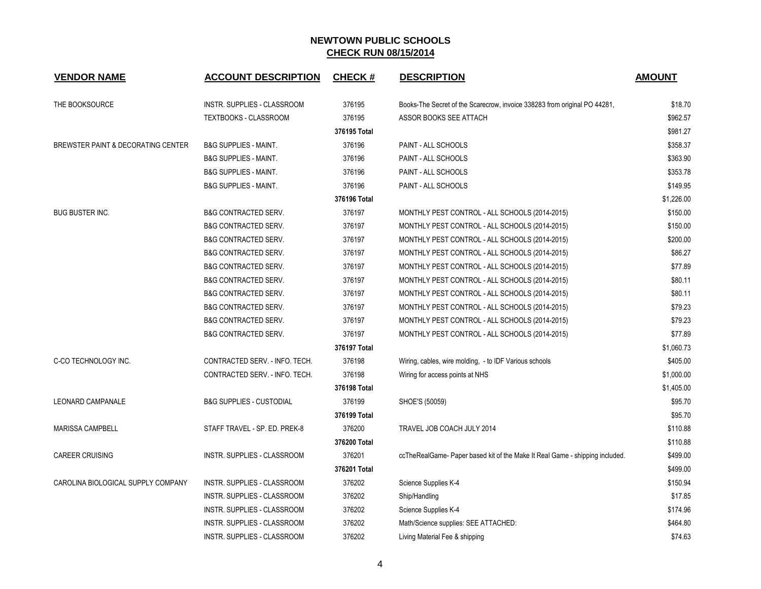| <b>VENDOR NAME</b>                 | <b>ACCOUNT DESCRIPTION</b>          | <b>CHECK#</b> | <b>DESCRIPTION</b>                                                          | <b>AMOUNT</b> |
|------------------------------------|-------------------------------------|---------------|-----------------------------------------------------------------------------|---------------|
| THE BOOKSOURCE                     | INSTR. SUPPLIES - CLASSROOM         | 376195        | Books-The Secret of the Scarecrow, invoice 338283 from original PO 44281,   | \$18.70       |
|                                    | TEXTBOOKS - CLASSROOM               | 376195        | ASSOR BOOKS SEE ATTACH                                                      | \$962.57      |
|                                    |                                     | 376195 Total  |                                                                             | \$981.27      |
| BREWSTER PAINT & DECORATING CENTER | <b>B&amp;G SUPPLIES - MAINT.</b>    | 376196        | PAINT - ALL SCHOOLS                                                         | \$358.37      |
|                                    | <b>B&amp;G SUPPLIES - MAINT.</b>    | 376196        | PAINT - ALL SCHOOLS                                                         | \$363.90      |
|                                    | <b>B&amp;G SUPPLIES - MAINT.</b>    | 376196        | PAINT - ALL SCHOOLS                                                         | \$353.78      |
|                                    | <b>B&amp;G SUPPLIES - MAINT.</b>    | 376196        | PAINT - ALL SCHOOLS                                                         | \$149.95      |
|                                    |                                     | 376196 Total  |                                                                             | \$1,226.00    |
| <b>BUG BUSTER INC.</b>             | <b>B&amp;G CONTRACTED SERV.</b>     | 376197        | MONTHLY PEST CONTROL - ALL SCHOOLS (2014-2015)                              | \$150.00      |
|                                    | <b>B&amp;G CONTRACTED SERV.</b>     | 376197        | MONTHLY PEST CONTROL - ALL SCHOOLS (2014-2015)                              | \$150.00      |
|                                    | <b>B&amp;G CONTRACTED SERV.</b>     | 376197        | MONTHLY PEST CONTROL - ALL SCHOOLS (2014-2015)                              | \$200.00      |
|                                    | <b>B&amp;G CONTRACTED SERV.</b>     | 376197        | MONTHLY PEST CONTROL - ALL SCHOOLS (2014-2015)                              | \$86.27       |
|                                    | <b>B&amp;G CONTRACTED SERV.</b>     | 376197        | MONTHLY PEST CONTROL - ALL SCHOOLS (2014-2015)                              | \$77.89       |
|                                    | <b>B&amp;G CONTRACTED SERV.</b>     | 376197        | MONTHLY PEST CONTROL - ALL SCHOOLS (2014-2015)                              | \$80.11       |
|                                    | <b>B&amp;G CONTRACTED SERV.</b>     | 376197        | MONTHLY PEST CONTROL - ALL SCHOOLS (2014-2015)                              | \$80.11       |
|                                    | <b>B&amp;G CONTRACTED SERV.</b>     | 376197        | MONTHLY PEST CONTROL - ALL SCHOOLS (2014-2015)                              | \$79.23       |
|                                    | <b>B&amp;G CONTRACTED SERV.</b>     | 376197        | MONTHLY PEST CONTROL - ALL SCHOOLS (2014-2015)                              | \$79.23       |
|                                    | <b>B&amp;G CONTRACTED SERV.</b>     | 376197        | MONTHLY PEST CONTROL - ALL SCHOOLS (2014-2015)                              | \$77.89       |
|                                    |                                     | 376197 Total  |                                                                             | \$1,060.73    |
| C-CO TECHNOLOGY INC.               | CONTRACTED SERV. - INFO. TECH.      | 376198        | Wiring, cables, wire molding, - to IDF Various schools                      | \$405.00      |
|                                    | CONTRACTED SERV. - INFO. TECH.      | 376198        | Wiring for access points at NHS                                             | \$1,000.00    |
|                                    |                                     | 376198 Total  |                                                                             | \$1,405.00    |
| <b>LEONARD CAMPANALE</b>           | <b>B&amp;G SUPPLIES - CUSTODIAL</b> | 376199        | SHOE'S (50059)                                                              | \$95.70       |
|                                    |                                     | 376199 Total  |                                                                             | \$95.70       |
| <b>MARISSA CAMPBELL</b>            | STAFF TRAVEL - SP. ED. PREK-8       | 376200        | TRAVEL JOB COACH JULY 2014                                                  | \$110.88      |
|                                    |                                     | 376200 Total  |                                                                             | \$110.88      |
| <b>CAREER CRUISING</b>             | INSTR. SUPPLIES - CLASSROOM         | 376201        | ccTheRealGame-Paper based kit of the Make It Real Game - shipping included. | \$499.00      |
|                                    |                                     | 376201 Total  |                                                                             | \$499.00      |
| CAROLINA BIOLOGICAL SUPPLY COMPANY | INSTR. SUPPLIES - CLASSROOM         | 376202        | Science Supplies K-4                                                        | \$150.94      |
|                                    | INSTR. SUPPLIES - CLASSROOM         | 376202        | Ship/Handling                                                               | \$17.85       |
|                                    | INSTR. SUPPLIES - CLASSROOM         | 376202        | Science Supplies K-4                                                        | \$174.96      |
|                                    | INSTR. SUPPLIES - CLASSROOM         | 376202        | Math/Science supplies: SEE ATTACHED:                                        | \$464.80      |
|                                    | INSTR. SUPPLIES - CLASSROOM         | 376202        | Living Material Fee & shipping                                              | \$74.63       |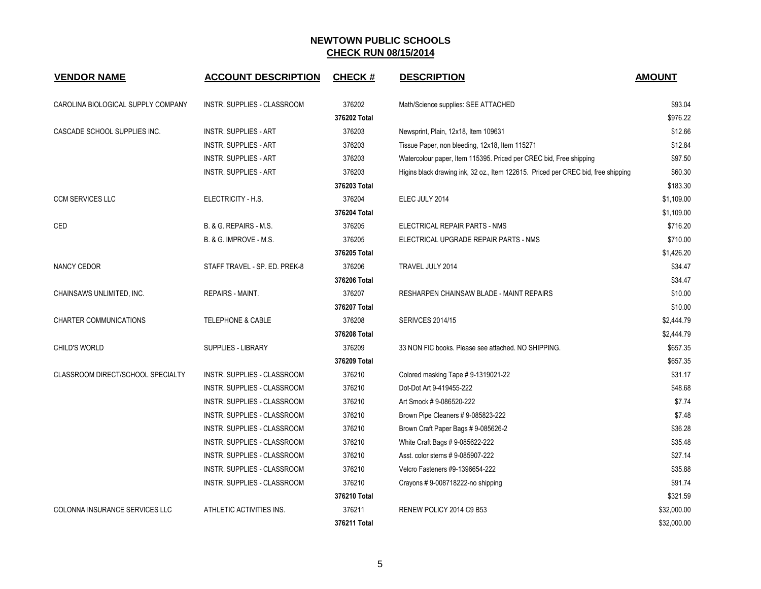| <b>VENDOR NAME</b>                 | <b>ACCOUNT DESCRIPTION</b>    | <b>CHECK#</b> | <b>DESCRIPTION</b>                                                                | <b>AMOUNT</b> |
|------------------------------------|-------------------------------|---------------|-----------------------------------------------------------------------------------|---------------|
| CAROLINA BIOLOGICAL SUPPLY COMPANY | INSTR. SUPPLIES - CLASSROOM   | 376202        | Math/Science supplies: SEE ATTACHED                                               | \$93.04       |
|                                    |                               | 376202 Total  |                                                                                   | \$976.22      |
| CASCADE SCHOOL SUPPLIES INC.       | <b>INSTR. SUPPLIES - ART</b>  | 376203        | Newsprint, Plain, 12x18, Item 109631                                              | \$12.66       |
|                                    | <b>INSTR. SUPPLIES - ART</b>  | 376203        | Tissue Paper, non bleeding, 12x18, Item 115271                                    | \$12.84       |
|                                    | <b>INSTR. SUPPLIES - ART</b>  | 376203        | Watercolour paper, Item 115395. Priced per CREC bid, Free shipping                | \$97.50       |
|                                    | <b>INSTR. SUPPLIES - ART</b>  | 376203        | Higins black drawing ink, 32 oz., Item 122615. Priced per CREC bid, free shipping | \$60.30       |
|                                    |                               | 376203 Total  |                                                                                   | \$183.30      |
| <b>CCM SERVICES LLC</b>            | ELECTRICITY - H.S.            | 376204        | ELEC JULY 2014                                                                    | \$1,109.00    |
|                                    |                               | 376204 Total  |                                                                                   | \$1,109.00    |
| CED                                | B. & G. REPAIRS - M.S.        | 376205        | ELECTRICAL REPAIR PARTS - NMS                                                     | \$716.20      |
|                                    | B. & G. IMPROVE - M.S.        | 376205        | ELECTRICAL UPGRADE REPAIR PARTS - NMS                                             | \$710.00      |
|                                    |                               | 376205 Total  |                                                                                   | \$1,426.20    |
| <b>NANCY CEDOR</b>                 | STAFF TRAVEL - SP. ED. PREK-8 | 376206        | TRAVEL JULY 2014                                                                  | \$34.47       |
|                                    |                               | 376206 Total  |                                                                                   | \$34.47       |
| CHAINSAWS UNLIMITED, INC.          | <b>REPAIRS - MAINT.</b>       | 376207        | RESHARPEN CHAINSAW BLADE - MAINT REPAIRS                                          | \$10.00       |
|                                    |                               | 376207 Total  |                                                                                   | \$10.00       |
| <b>CHARTER COMMUNICATIONS</b>      | <b>TELEPHONE &amp; CABLE</b>  | 376208        | <b>SERIVCES 2014/15</b>                                                           | \$2,444.79    |
|                                    |                               | 376208 Total  |                                                                                   | \$2,444.79    |
| CHILD'S WORLD                      | <b>SUPPLIES - LIBRARY</b>     | 376209        | 33 NON FIC books. Please see attached. NO SHIPPING.                               | \$657.35      |
|                                    |                               | 376209 Total  |                                                                                   | \$657.35      |
| CLASSROOM DIRECT/SCHOOL SPECIALTY  | INSTR. SUPPLIES - CLASSROOM   | 376210        | Colored masking Tape #9-1319021-22                                                | \$31.17       |
|                                    | INSTR. SUPPLIES - CLASSROOM   | 376210        | Dot-Dot Art 9-419455-222                                                          | \$48.68       |
|                                    | INSTR. SUPPLIES - CLASSROOM   | 376210        | Art Smock #9-086520-222                                                           | \$7.74        |
|                                    | INSTR. SUPPLIES - CLASSROOM   | 376210        | Brown Pipe Cleaners # 9-085823-222                                                | \$7.48        |
|                                    | INSTR. SUPPLIES - CLASSROOM   | 376210        | Brown Craft Paper Bags # 9-085626-2                                               | \$36.28       |
|                                    | INSTR. SUPPLIES - CLASSROOM   | 376210        | White Craft Bags # 9-085622-222                                                   | \$35.48       |
|                                    | INSTR. SUPPLIES - CLASSROOM   | 376210        | Asst. color stems #9-085907-222                                                   | \$27.14       |
|                                    | INSTR. SUPPLIES - CLASSROOM   | 376210        | Velcro Fasteners #9-1396654-222                                                   | \$35.88       |
|                                    | INSTR. SUPPLIES - CLASSROOM   | 376210        | Crayons #9-008718222-no shipping                                                  | \$91.74       |
|                                    |                               | 376210 Total  |                                                                                   | \$321.59      |
| COLONNA INSURANCE SERVICES LLC     | ATHLETIC ACTIVITIES INS.      | 376211        | RENEW POLICY 2014 C9 B53                                                          | \$32,000.00   |
|                                    |                               | 376211 Total  |                                                                                   | \$32,000.00   |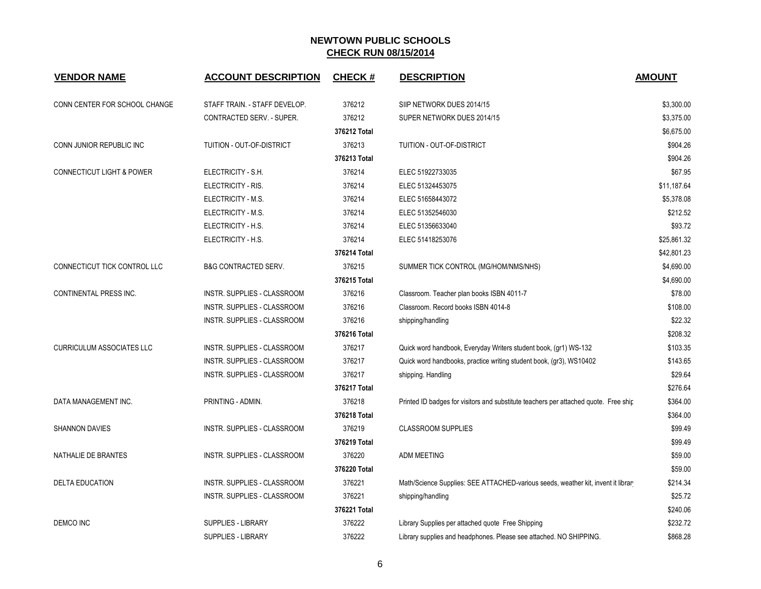| <b>VENDOR NAME</b>                   | <b>ACCOUNT DESCRIPTION</b>         | <b>CHECK#</b> | <b>DESCRIPTION</b>                                                                   | <b>AMOUNT</b> |
|--------------------------------------|------------------------------------|---------------|--------------------------------------------------------------------------------------|---------------|
| CONN CENTER FOR SCHOOL CHANGE        | STAFF TRAIN. - STAFF DEVELOP.      | 376212        | SIIP NETWORK DUES 2014/15                                                            | \$3,300.00    |
|                                      | CONTRACTED SERV. - SUPER.          | 376212        | SUPER NETWORK DUES 2014/15                                                           | \$3,375.00    |
|                                      |                                    | 376212 Total  |                                                                                      | \$6,675.00    |
| CONN JUNIOR REPUBLIC INC             | TUITION - OUT-OF-DISTRICT          | 376213        | TUITION - OUT-OF-DISTRICT                                                            | \$904.26      |
|                                      |                                    | 376213 Total  |                                                                                      | \$904.26      |
| <b>CONNECTICUT LIGHT &amp; POWER</b> | ELECTRICITY - S.H.                 | 376214        | ELEC 51922733035                                                                     | \$67.95       |
|                                      | ELECTRICITY - RIS.                 | 376214        | ELEC 51324453075                                                                     | \$11,187.64   |
|                                      | ELECTRICITY - M.S.                 | 376214        | ELEC 51658443072                                                                     | \$5,378.08    |
|                                      | ELECTRICITY - M.S.                 | 376214        | ELEC 51352546030                                                                     | \$212.52      |
|                                      | ELECTRICITY - H.S.                 | 376214        | ELEC 51356633040                                                                     | \$93.72       |
|                                      | ELECTRICITY - H.S.                 | 376214        | ELEC 51418253076                                                                     | \$25,861.32   |
|                                      |                                    | 376214 Total  |                                                                                      | \$42,801.23   |
| CONNECTICUT TICK CONTROL LLC         | <b>B&amp;G CONTRACTED SERV.</b>    | 376215        | SUMMER TICK CONTROL (MG/HOM/NMS/NHS)                                                 | \$4,690.00    |
|                                      |                                    | 376215 Total  |                                                                                      | \$4,690.00    |
| CONTINENTAL PRESS INC.               | INSTR. SUPPLIES - CLASSROOM        | 376216        | Classroom. Teacher plan books ISBN 4011-7                                            | \$78.00       |
|                                      | <b>INSTR. SUPPLIES - CLASSROOM</b> | 376216        | Classroom. Record books ISBN 4014-8                                                  | \$108.00      |
|                                      | INSTR. SUPPLIES - CLASSROOM        | 376216        | shipping/handling                                                                    | \$22.32       |
|                                      |                                    | 376216 Total  |                                                                                      | \$208.32      |
| <b>CURRICULUM ASSOCIATES LLC</b>     | INSTR. SUPPLIES - CLASSROOM        | 376217        | Quick word handbook, Everyday Writers student book, (gr1) WS-132                     | \$103.35      |
|                                      | INSTR. SUPPLIES - CLASSROOM        | 376217        | Quick word handbooks, practice writing student book, (gr3), WS10402                  | \$143.65      |
|                                      | INSTR. SUPPLIES - CLASSROOM        | 376217        | shipping. Handling                                                                   | \$29.64       |
|                                      |                                    | 376217 Total  |                                                                                      | \$276.64      |
| DATA MANAGEMENT INC.                 | PRINTING - ADMIN.                  | 376218        | Printed ID badges for visitors and substitute teachers per attached quote. Free ship | \$364.00      |
|                                      |                                    | 376218 Total  |                                                                                      | \$364.00      |
| <b>SHANNON DAVIES</b>                | INSTR. SUPPLIES - CLASSROOM        | 376219        | <b>CLASSROOM SUPPLIES</b>                                                            | \$99.49       |
|                                      |                                    | 376219 Total  |                                                                                      | \$99.49       |
| NATHALIE DE BRANTES                  | INSTR. SUPPLIES - CLASSROOM        | 376220        | <b>ADM MEETING</b>                                                                   | \$59.00       |
|                                      |                                    | 376220 Total  |                                                                                      | \$59.00       |
| <b>DELTA EDUCATION</b>               | INSTR. SUPPLIES - CLASSROOM        | 376221        | Math/Science Supplies: SEE ATTACHED-various seeds, weather kit, invent it librar     | \$214.34      |
|                                      | INSTR. SUPPLIES - CLASSROOM        | 376221        | shipping/handling                                                                    | \$25.72       |
|                                      |                                    | 376221 Total  |                                                                                      | \$240.06      |
| DEMCO INC                            | <b>SUPPLIES - LIBRARY</b>          | 376222        | Library Supplies per attached quote Free Shipping                                    | \$232.72      |
|                                      | <b>SUPPLIES - LIBRARY</b>          | 376222        | Library supplies and headphones. Please see attached. NO SHIPPING.                   | \$868.28      |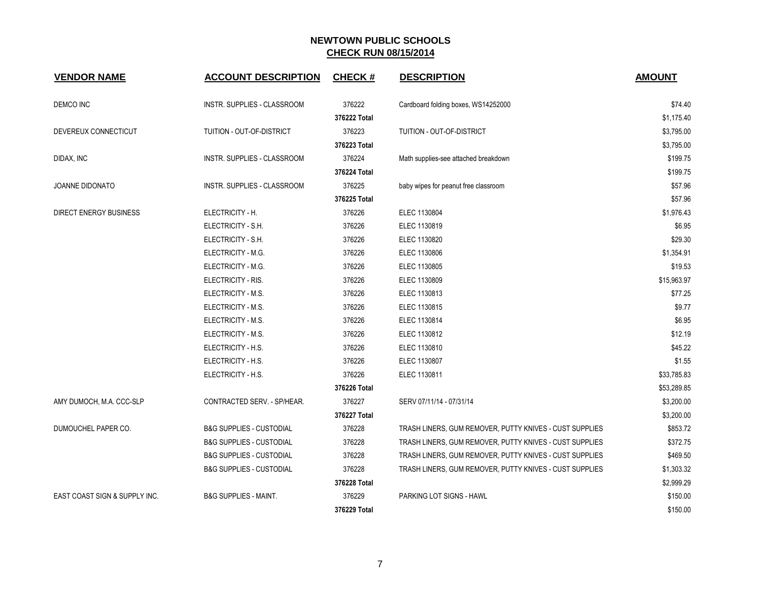| <b>VENDOR NAME</b>            | <b>ACCOUNT DESCRIPTION</b>          | <b>CHECK#</b> | <b>DESCRIPTION</b>                                      | <b>AMOUNT</b> |
|-------------------------------|-------------------------------------|---------------|---------------------------------------------------------|---------------|
| DEMCO INC                     | INSTR. SUPPLIES - CLASSROOM         | 376222        | Cardboard folding boxes, WS14252000                     | \$74.40       |
|                               |                                     | 376222 Total  |                                                         | \$1,175.40    |
| DEVEREUX CONNECTICUT          | TUITION - OUT-OF-DISTRICT           | 376223        | TUITION - OUT-OF-DISTRICT                               | \$3,795.00    |
|                               |                                     | 376223 Total  |                                                         | \$3,795.00    |
| DIDAX, INC                    | INSTR. SUPPLIES - CLASSROOM         | 376224        | Math supplies-see attached breakdown                    | \$199.75      |
|                               |                                     | 376224 Total  |                                                         | \$199.75      |
| <b>JOANNE DIDONATO</b>        | INSTR. SUPPLIES - CLASSROOM         | 376225        | baby wipes for peanut free classroom                    | \$57.96       |
|                               |                                     | 376225 Total  |                                                         | \$57.96       |
| <b>DIRECT ENERGY BUSINESS</b> | ELECTRICITY - H.                    | 376226        | ELEC 1130804                                            | \$1,976.43    |
|                               | ELECTRICITY - S.H.                  | 376226        | ELEC 1130819                                            | \$6.95        |
|                               | ELECTRICITY - S.H.                  | 376226        | ELEC 1130820                                            | \$29.30       |
|                               | ELECTRICITY - M.G.                  | 376226        | ELEC 1130806                                            | \$1,354.91    |
|                               | ELECTRICITY - M.G.                  | 376226        | ELEC 1130805                                            | \$19.53       |
|                               | ELECTRICITY - RIS.                  | 376226        | ELEC 1130809                                            | \$15,963.97   |
|                               | ELECTRICITY - M.S.                  | 376226        | ELEC 1130813                                            | \$77.25       |
|                               | ELECTRICITY - M.S.                  | 376226        | ELEC 1130815                                            | \$9.77        |
|                               | ELECTRICITY - M.S.                  | 376226        | ELEC 1130814                                            | \$6.95        |
|                               | ELECTRICITY - M.S.                  | 376226        | ELEC 1130812                                            | \$12.19       |
|                               | ELECTRICITY - H.S.                  | 376226        | ELEC 1130810                                            | \$45.22       |
|                               | ELECTRICITY - H.S.                  | 376226        | ELEC 1130807                                            | \$1.55        |
|                               | ELECTRICITY - H.S.                  | 376226        | ELEC 1130811                                            | \$33,785.83   |
|                               |                                     | 376226 Total  |                                                         | \$53,289.85   |
| AMY DUMOCH, M.A. CCC-SLP      | CONTRACTED SERV. - SP/HEAR.         | 376227        | SERV 07/11/14 - 07/31/14                                | \$3,200.00    |
|                               |                                     | 376227 Total  |                                                         | \$3,200.00    |
| DUMOUCHEL PAPER CO.           | <b>B&amp;G SUPPLIES - CUSTODIAL</b> | 376228        | TRASH LINERS, GUM REMOVER, PUTTY KNIVES - CUST SUPPLIES | \$853.72      |
|                               | <b>B&amp;G SUPPLIES - CUSTODIAL</b> | 376228        | TRASH LINERS, GUM REMOVER, PUTTY KNIVES - CUST SUPPLIES | \$372.75      |
|                               | <b>B&amp;G SUPPLIES - CUSTODIAL</b> | 376228        | TRASH LINERS, GUM REMOVER, PUTTY KNIVES - CUST SUPPLIES | \$469.50      |
|                               | <b>B&amp;G SUPPLIES - CUSTODIAL</b> | 376228        | TRASH LINERS, GUM REMOVER, PUTTY KNIVES - CUST SUPPLIES | \$1,303.32    |
|                               |                                     | 376228 Total  |                                                         | \$2,999.29    |
| EAST COAST SIGN & SUPPLY INC. | <b>B&amp;G SUPPLIES - MAINT.</b>    | 376229        | PARKING LOT SIGNS - HAWL                                | \$150.00      |
|                               |                                     | 376229 Total  |                                                         | \$150.00      |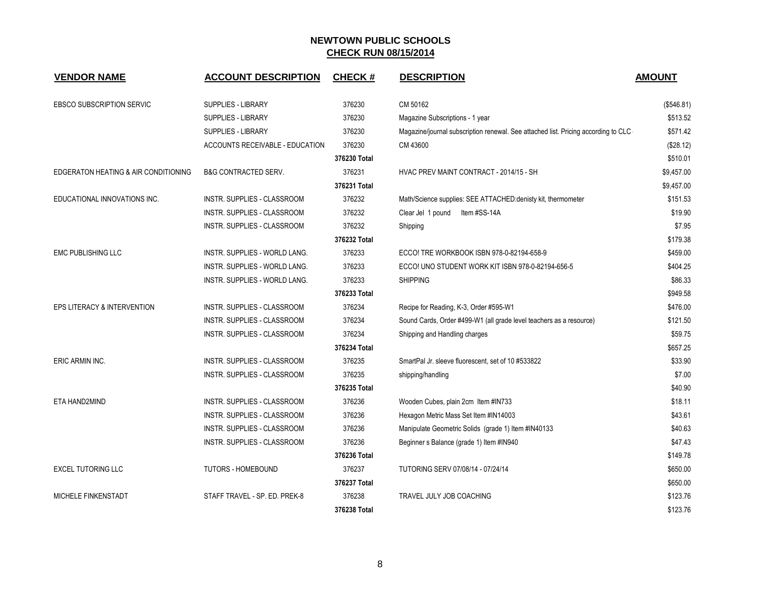| <b>VENDOR NAME</b>                   | <b>ACCOUNT DESCRIPTION</b>      | <b>CHECK#</b> | <b>DESCRIPTION</b>                                                                 | <b>AMOUNT</b> |
|--------------------------------------|---------------------------------|---------------|------------------------------------------------------------------------------------|---------------|
| EBSCO SUBSCRIPTION SERVIC            | <b>SUPPLIES - LIBRARY</b>       | 376230        | CM 50162                                                                           | (\$546.81)    |
|                                      | <b>SUPPLIES - LIBRARY</b>       | 376230        | Magazine Subscriptions - 1 year                                                    | \$513.52      |
|                                      | <b>SUPPLIES - LIBRARY</b>       | 376230        | Magazine/journal subscription renewal. See attached list. Pricing according to CLC | \$571.42      |
|                                      | ACCOUNTS RECEIVABLE - EDUCATION | 376230        | CM 43600                                                                           | (\$28.12)     |
|                                      |                                 | 376230 Total  |                                                                                    | \$510.01      |
| EDGERATON HEATING & AIR CONDITIONING | <b>B&amp;G CONTRACTED SERV.</b> | 376231        | HVAC PREV MAINT CONTRACT - 2014/15 - SH                                            | \$9,457.00    |
|                                      |                                 | 376231 Total  |                                                                                    | \$9,457.00    |
| EDUCATIONAL INNOVATIONS INC.         | INSTR. SUPPLIES - CLASSROOM     | 376232        | Math/Science supplies: SEE ATTACHED:denisty kit, thermometer                       | \$151.53      |
|                                      | INSTR. SUPPLIES - CLASSROOM     | 376232        | Clear Jel 1 pound<br>Item #SS-14A                                                  | \$19.90       |
|                                      | INSTR. SUPPLIES - CLASSROOM     | 376232        | Shipping                                                                           | \$7.95        |
|                                      |                                 | 376232 Total  |                                                                                    | \$179.38      |
| <b>EMC PUBLISHING LLC</b>            | INSTR. SUPPLIES - WORLD LANG.   | 376233        | ECCO! TRE WORKBOOK ISBN 978-0-82194-658-9                                          | \$459.00      |
|                                      | INSTR. SUPPLIES - WORLD LANG.   | 376233        | ECCO! UNO STUDENT WORK KIT ISBN 978-0-82194-656-5                                  | \$404.25      |
|                                      | INSTR. SUPPLIES - WORLD LANG.   | 376233        | <b>SHIPPING</b>                                                                    | \$86.33       |
|                                      |                                 | 376233 Total  |                                                                                    | \$949.58      |
| EPS LITERACY & INTERVENTION          | INSTR. SUPPLIES - CLASSROOM     | 376234        | Recipe for Reading, K-3, Order #595-W1                                             | \$476.00      |
|                                      | INSTR. SUPPLIES - CLASSROOM     | 376234        | Sound Cards, Order #499-W1 (all grade level teachers as a resource)                | \$121.50      |
|                                      | INSTR. SUPPLIES - CLASSROOM     | 376234        | Shipping and Handling charges                                                      | \$59.75       |
|                                      |                                 | 376234 Total  |                                                                                    | \$657.25      |
| ERIC ARMIN INC.                      | INSTR. SUPPLIES - CLASSROOM     | 376235        | SmartPal Jr. sleeve fluorescent, set of 10 #533822                                 | \$33.90       |
|                                      | INSTR. SUPPLIES - CLASSROOM     | 376235        | shipping/handling                                                                  | \$7.00        |
|                                      |                                 | 376235 Total  |                                                                                    | \$40.90       |
| ETA HAND2MIND                        | INSTR. SUPPLIES - CLASSROOM     | 376236        | Wooden Cubes, plain 2cm Item #IN733                                                | \$18.11       |
|                                      | INSTR. SUPPLIES - CLASSROOM     | 376236        | Hexagon Metric Mass Set Item #IN14003                                              | \$43.61       |
|                                      | INSTR. SUPPLIES - CLASSROOM     | 376236        | Manipulate Geometric Solids (grade 1) Item #IN40133                                | \$40.63       |
|                                      | INSTR. SUPPLIES - CLASSROOM     | 376236        | Beginner s Balance (grade 1) Item #IN940                                           | \$47.43       |
|                                      |                                 | 376236 Total  |                                                                                    | \$149.78      |
| <b>EXCEL TUTORING LLC</b>            | <b>TUTORS - HOMEBOUND</b>       | 376237        | TUTORING SERV 07/08/14 - 07/24/14                                                  | \$650.00      |
|                                      |                                 | 376237 Total  |                                                                                    | \$650.00      |
| MICHELE FINKENSTADT                  | STAFF TRAVEL - SP. ED. PREK-8   | 376238        | TRAVEL JULY JOB COACHING                                                           | \$123.76      |
|                                      |                                 | 376238 Total  |                                                                                    | \$123.76      |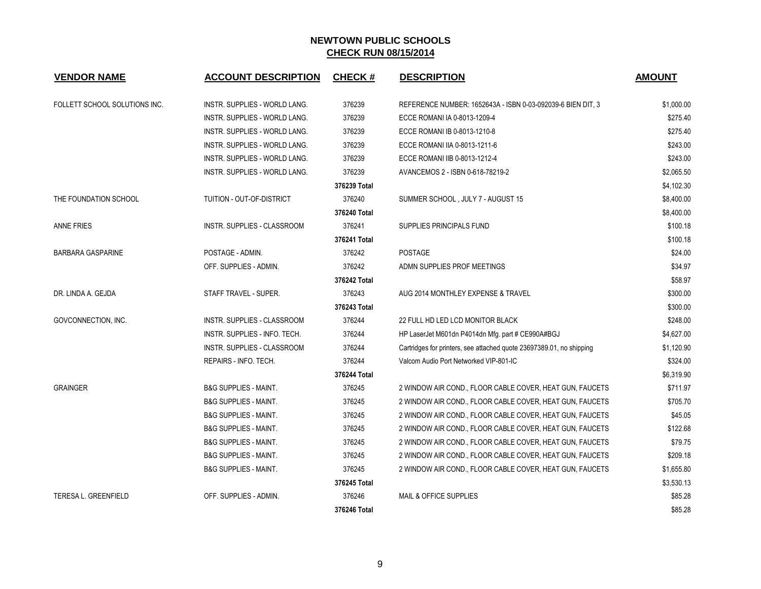| <b>VENDOR NAME</b>            | <b>ACCOUNT DESCRIPTION</b>       | <b>CHECK#</b> | <b>DESCRIPTION</b>                                                   | <b>AMOUNT</b> |
|-------------------------------|----------------------------------|---------------|----------------------------------------------------------------------|---------------|
| FOLLETT SCHOOL SOLUTIONS INC. | INSTR. SUPPLIES - WORLD LANG.    | 376239        | REFERENCE NUMBER: 1652643A - ISBN 0-03-092039-6 BIEN DIT, 3          | \$1,000.00    |
|                               | INSTR. SUPPLIES - WORLD LANG.    | 376239        | ECCE ROMANI IA 0-8013-1209-4                                         | \$275.40      |
|                               | INSTR. SUPPLIES - WORLD LANG.    | 376239        | ECCE ROMANI IB 0-8013-1210-8                                         | \$275.40      |
|                               | INSTR. SUPPLIES - WORLD LANG.    | 376239        | ECCE ROMANI IIA 0-8013-1211-6                                        | \$243.00      |
|                               | INSTR. SUPPLIES - WORLD LANG.    | 376239        | ECCE ROMANI IIB 0-8013-1212-4                                        | \$243.00      |
|                               | INSTR. SUPPLIES - WORLD LANG.    | 376239        | AVANCEMOS 2 - ISBN 0-618-78219-2                                     | \$2,065.50    |
|                               |                                  | 376239 Total  |                                                                      | \$4,102.30    |
| THE FOUNDATION SCHOOL         | TUITION - OUT-OF-DISTRICT        | 376240        | SUMMER SCHOOL, JULY 7 - AUGUST 15                                    | \$8,400.00    |
|                               |                                  | 376240 Total  |                                                                      | \$8,400.00    |
| <b>ANNE FRIES</b>             | INSTR. SUPPLIES - CLASSROOM      | 376241        | SUPPLIES PRINCIPALS FUND                                             | \$100.18      |
|                               |                                  | 376241 Total  |                                                                      | \$100.18      |
| <b>BARBARA GASPARINE</b>      | POSTAGE - ADMIN.                 | 376242        | <b>POSTAGE</b>                                                       | \$24.00       |
|                               | OFF. SUPPLIES - ADMIN.           | 376242        | ADMN SUPPLIES PROF MEETINGS                                          | \$34.97       |
|                               |                                  | 376242 Total  |                                                                      | \$58.97       |
| DR. LINDA A. GEJDA            | STAFF TRAVEL - SUPER.            | 376243        | AUG 2014 MONTHLEY EXPENSE & TRAVEL                                   | \$300.00      |
|                               |                                  | 376243 Total  |                                                                      | \$300.00      |
| GOVCONNECTION, INC.           | INSTR. SUPPLIES - CLASSROOM      | 376244        | 22 FULL HD LED LCD MONITOR BLACK                                     | \$248.00      |
|                               | INSTR. SUPPLIES - INFO. TECH.    | 376244        | HP LaserJet M601dn P4014dn Mfg. part # CE990A#BGJ                    | \$4,627.00    |
|                               | INSTR. SUPPLIES - CLASSROOM      | 376244        | Cartridges for printers, see attached quote 23697389.01, no shipping | \$1,120.90    |
|                               | REPAIRS - INFO. TECH.            | 376244        | Valcom Audio Port Networked VIP-801-IC                               | \$324.00      |
|                               |                                  | 376244 Total  |                                                                      | \$6,319.90    |
| <b>GRAINGER</b>               | <b>B&amp;G SUPPLIES - MAINT.</b> | 376245        | 2 WINDOW AIR COND., FLOOR CABLE COVER, HEAT GUN, FAUCETS             | \$711.97      |
|                               | <b>B&amp;G SUPPLIES - MAINT.</b> | 376245        | 2 WINDOW AIR COND., FLOOR CABLE COVER, HEAT GUN, FAUCETS             | \$705.70      |
|                               | <b>B&amp;G SUPPLIES - MAINT.</b> | 376245        | 2 WINDOW AIR COND., FLOOR CABLE COVER, HEAT GUN, FAUCETS             | \$45.05       |
|                               | <b>B&amp;G SUPPLIES - MAINT.</b> | 376245        | 2 WINDOW AIR COND., FLOOR CABLE COVER, HEAT GUN, FAUCETS             | \$122.68      |
|                               | <b>B&amp;G SUPPLIES - MAINT.</b> | 376245        | 2 WINDOW AIR COND., FLOOR CABLE COVER, HEAT GUN, FAUCETS             | \$79.75       |
|                               | <b>B&amp;G SUPPLIES - MAINT.</b> | 376245        | 2 WINDOW AIR COND., FLOOR CABLE COVER, HEAT GUN, FAUCETS             | \$209.18      |
|                               | <b>B&amp;G SUPPLIES - MAINT.</b> | 376245        | 2 WINDOW AIR COND., FLOOR CABLE COVER, HEAT GUN, FAUCETS             | \$1,655.80    |
|                               |                                  | 376245 Total  |                                                                      | \$3,530.13    |
| <b>TERESA L. GREENFIELD</b>   | OFF. SUPPLIES - ADMIN.           | 376246        | <b>MAIL &amp; OFFICE SUPPLIES</b>                                    | \$85.28       |
|                               |                                  | 376246 Total  |                                                                      | \$85.28       |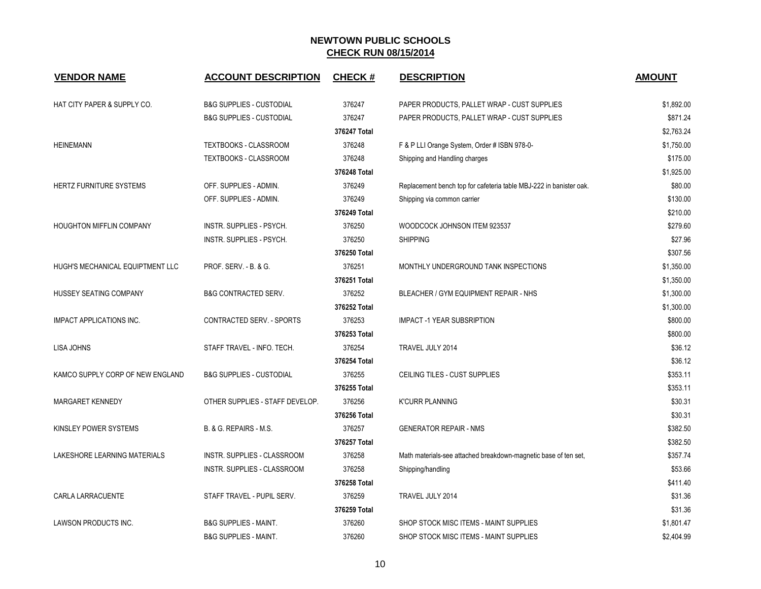| <b>VENDOR NAME</b>               | <b>ACCOUNT DESCRIPTION</b>          | <b>CHECK#</b> | <b>DESCRIPTION</b>                                                 | <b>AMOUNT</b> |
|----------------------------------|-------------------------------------|---------------|--------------------------------------------------------------------|---------------|
| HAT CITY PAPER & SUPPLY CO.      | <b>B&amp;G SUPPLIES - CUSTODIAL</b> | 376247        | PAPER PRODUCTS, PALLET WRAP - CUST SUPPLIES                        | \$1,892.00    |
|                                  | <b>B&amp;G SUPPLIES - CUSTODIAL</b> | 376247        | PAPER PRODUCTS, PALLET WRAP - CUST SUPPLIES                        | \$871.24      |
|                                  |                                     | 376247 Total  |                                                                    | \$2,763.24    |
| <b>HEINEMANN</b>                 | TEXTBOOKS - CLASSROOM               | 376248        | F & P LLI Orange System, Order # ISBN 978-0-                       | \$1,750.00    |
|                                  | TEXTBOOKS - CLASSROOM               | 376248        | Shipping and Handling charges                                      | \$175.00      |
|                                  |                                     | 376248 Total  |                                                                    | \$1,925.00    |
| HERTZ FURNITURE SYSTEMS          | OFF. SUPPLIES - ADMIN.              | 376249        | Replacement bench top for cafeteria table MBJ-222 in banister oak. | \$80.00       |
|                                  | OFF. SUPPLIES - ADMIN.              | 376249        | Shipping via common carrier                                        | \$130.00      |
|                                  |                                     | 376249 Total  |                                                                    | \$210.00      |
| HOUGHTON MIFFLIN COMPANY         | INSTR. SUPPLIES - PSYCH.            | 376250        | WOODCOCK JOHNSON ITEM 923537                                       | \$279.60      |
|                                  | INSTR. SUPPLIES - PSYCH.            | 376250        | <b>SHIPPING</b>                                                    | \$27.96       |
|                                  |                                     | 376250 Total  |                                                                    | \$307.56      |
| HUGH'S MECHANICAL EQUIPTMENT LLC | <b>PROF. SERV. - B. &amp; G.</b>    | 376251        | MONTHLY UNDERGROUND TANK INSPECTIONS                               | \$1,350.00    |
|                                  |                                     | 376251 Total  |                                                                    | \$1,350.00    |
| HUSSEY SEATING COMPANY           | <b>B&amp;G CONTRACTED SERV.</b>     | 376252        | BLEACHER / GYM EQUIPMENT REPAIR - NHS                              | \$1,300.00    |
|                                  |                                     | 376252 Total  |                                                                    | \$1,300.00    |
| <b>IMPACT APPLICATIONS INC.</b>  | CONTRACTED SERV. - SPORTS           | 376253        | <b>IMPACT -1 YEAR SUBSRIPTION</b>                                  | \$800.00      |
|                                  |                                     | 376253 Total  |                                                                    | \$800.00      |
| LISA JOHNS                       | STAFF TRAVEL - INFO. TECH.          | 376254        | TRAVEL JULY 2014                                                   | \$36.12       |
|                                  |                                     | 376254 Total  |                                                                    | \$36.12       |
| KAMCO SUPPLY CORP OF NEW ENGLAND | <b>B&amp;G SUPPLIES - CUSTODIAL</b> | 376255        | CEILING TILES - CUST SUPPLIES                                      | \$353.11      |
|                                  |                                     | 376255 Total  |                                                                    | \$353.11      |
| <b>MARGARET KENNEDY</b>          | OTHER SUPPLIES - STAFF DEVELOP.     | 376256        | <b>K'CURR PLANNING</b>                                             | \$30.31       |
|                                  |                                     | 376256 Total  |                                                                    | \$30.31       |
| KINSLEY POWER SYSTEMS            | B. & G. REPAIRS - M.S.              | 376257        | <b>GENERATOR REPAIR - NMS</b>                                      | \$382.50      |
|                                  |                                     | 376257 Total  |                                                                    | \$382.50      |
| LAKESHORE LEARNING MATERIALS     | INSTR. SUPPLIES - CLASSROOM         | 376258        | Math materials-see attached breakdown-magnetic base of ten set,    | \$357.74      |
|                                  | <b>INSTR. SUPPLIES - CLASSROOM</b>  | 376258        | Shipping/handling                                                  | \$53.66       |
|                                  |                                     | 376258 Total  |                                                                    | \$411.40      |
| <b>CARLA LARRACUENTE</b>         | STAFF TRAVEL - PUPIL SERV.          | 376259        | TRAVEL JULY 2014                                                   | \$31.36       |
|                                  |                                     | 376259 Total  |                                                                    | \$31.36       |
| LAWSON PRODUCTS INC.             | <b>B&amp;G SUPPLIES - MAINT.</b>    | 376260        | SHOP STOCK MISC ITEMS - MAINT SUPPLIES                             | \$1,801.47    |
|                                  | <b>B&amp;G SUPPLIES - MAINT.</b>    | 376260        | SHOP STOCK MISC ITEMS - MAINT SUPPLIES                             | \$2,404.99    |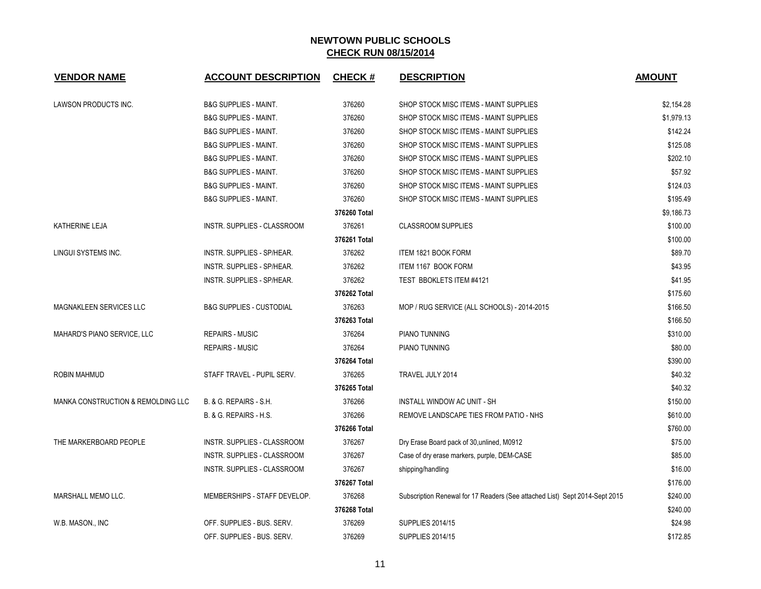| <b>VENDOR NAME</b>                 | <b>ACCOUNT DESCRIPTION</b>          | <b>CHECK#</b> | <b>DESCRIPTION</b>                                                          | <b>AMOUNT</b> |
|------------------------------------|-------------------------------------|---------------|-----------------------------------------------------------------------------|---------------|
| LAWSON PRODUCTS INC.               | <b>B&amp;G SUPPLIES - MAINT.</b>    | 376260        | SHOP STOCK MISC ITEMS - MAINT SUPPLIES                                      | \$2,154.28    |
|                                    | <b>B&amp;G SUPPLIES - MAINT.</b>    | 376260        | SHOP STOCK MISC ITEMS - MAINT SUPPLIES                                      | \$1,979.13    |
|                                    | <b>B&amp;G SUPPLIES - MAINT.</b>    | 376260        | SHOP STOCK MISC ITEMS - MAINT SUPPLIES                                      | \$142.24      |
|                                    | <b>B&amp;G SUPPLIES - MAINT.</b>    | 376260        | SHOP STOCK MISC ITEMS - MAINT SUPPLIES                                      | \$125.08      |
|                                    | <b>B&amp;G SUPPLIES - MAINT.</b>    | 376260        | SHOP STOCK MISC ITEMS - MAINT SUPPLIES                                      | \$202.10      |
|                                    | <b>B&amp;G SUPPLIES - MAINT.</b>    | 376260        | SHOP STOCK MISC ITEMS - MAINT SUPPLIES                                      | \$57.92       |
|                                    | <b>B&amp;G SUPPLIES - MAINT.</b>    | 376260        | SHOP STOCK MISC ITEMS - MAINT SUPPLIES                                      | \$124.03      |
|                                    | <b>B&amp;G SUPPLIES - MAINT.</b>    | 376260        | SHOP STOCK MISC ITEMS - MAINT SUPPLIES                                      | \$195.49      |
|                                    |                                     | 376260 Total  |                                                                             | \$9,186.73    |
| KATHERINE LEJA                     | INSTR. SUPPLIES - CLASSROOM         | 376261        | <b>CLASSROOM SUPPLIES</b>                                                   | \$100.00      |
|                                    |                                     | 376261 Total  |                                                                             | \$100.00      |
| LINGUI SYSTEMS INC.                | INSTR. SUPPLIES - SP/HEAR.          | 376262        | ITEM 1821 BOOK FORM                                                         | \$89.70       |
|                                    | INSTR. SUPPLIES - SP/HEAR.          | 376262        | ITEM 1167 BOOK FORM                                                         | \$43.95       |
|                                    | INSTR. SUPPLIES - SP/HEAR.          | 376262        | TEST BBOKLETS ITEM #4121                                                    | \$41.95       |
|                                    |                                     | 376262 Total  |                                                                             | \$175.60      |
| <b>MAGNAKLEEN SERVICES LLC</b>     | <b>B&amp;G SUPPLIES - CUSTODIAL</b> | 376263        | MOP / RUG SERVICE (ALL SCHOOLS) - 2014-2015                                 | \$166.50      |
|                                    |                                     | 376263 Total  |                                                                             | \$166.50      |
| MAHARD'S PIANO SERVICE, LLC        | <b>REPAIRS - MUSIC</b>              | 376264        | PIANO TUNNING                                                               | \$310.00      |
|                                    | <b>REPAIRS - MUSIC</b>              | 376264        | PIANO TUNNING                                                               | \$80.00       |
|                                    |                                     | 376264 Total  |                                                                             | \$390.00      |
| <b>ROBIN MAHMUD</b>                | STAFF TRAVEL - PUPIL SERV.          | 376265        | TRAVEL JULY 2014                                                            | \$40.32       |
|                                    |                                     | 376265 Total  |                                                                             | \$40.32       |
| MANKA CONSTRUCTION & REMOLDING LLC | B. & G. REPAIRS - S.H.              | 376266        | INSTALL WINDOW AC UNIT - SH                                                 | \$150.00      |
|                                    | B. & G. REPAIRS - H.S.              | 376266        | REMOVE LANDSCAPE TIES FROM PATIO - NHS                                      | \$610.00      |
|                                    |                                     | 376266 Total  |                                                                             | \$760.00      |
| THE MARKERBOARD PEOPLE             | INSTR. SUPPLIES - CLASSROOM         | 376267        | Dry Erase Board pack of 30, unlined, M0912                                  | \$75.00       |
|                                    | INSTR. SUPPLIES - CLASSROOM         | 376267        | Case of dry erase markers, purple, DEM-CASE                                 | \$85.00       |
|                                    | INSTR. SUPPLIES - CLASSROOM         | 376267        | shipping/handling                                                           | \$16.00       |
|                                    |                                     | 376267 Total  |                                                                             | \$176.00      |
| MARSHALL MEMO LLC.                 | MEMBERSHIPS - STAFF DEVELOP.        | 376268        | Subscription Renewal for 17 Readers (See attached List) Sept 2014-Sept 2015 | \$240.00      |
|                                    |                                     | 376268 Total  |                                                                             | \$240.00      |
| W.B. MASON., INC                   | OFF. SUPPLIES - BUS. SERV.          | 376269        | <b>SUPPLIES 2014/15</b>                                                     | \$24.98       |
|                                    | OFF. SUPPLIES - BUS. SERV.          | 376269        | <b>SUPPLIES 2014/15</b>                                                     | \$172.85      |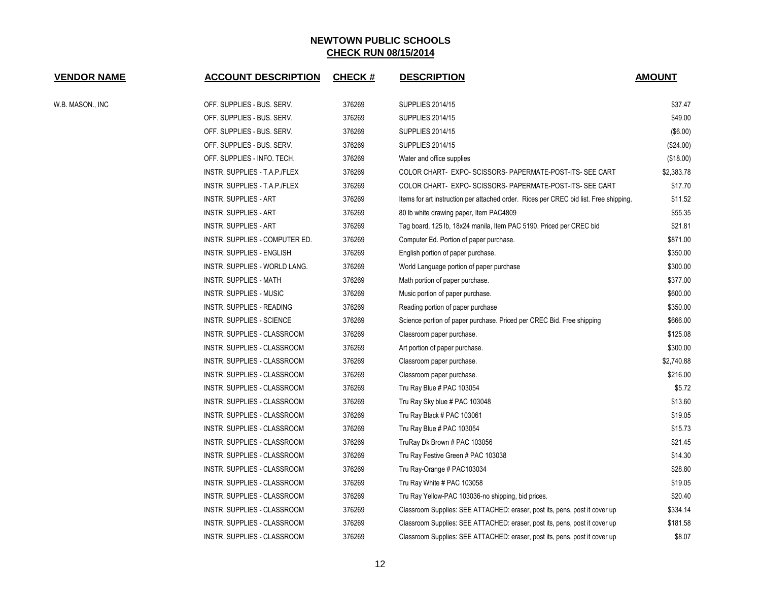| <b>VENDOR NAME</b> | <b>ACCOUNT DESCRIPTION</b>         | <b>CHECK#</b> | <b>DESCRIPTION</b>                                                                    | <b>AMOUNT</b> |
|--------------------|------------------------------------|---------------|---------------------------------------------------------------------------------------|---------------|
| W.B. MASON., INC   | OFF. SUPPLIES - BUS. SERV.         | 376269        | <b>SUPPLIES 2014/15</b>                                                               | \$37.47       |
|                    | OFF. SUPPLIES - BUS. SERV.         | 376269        | <b>SUPPLIES 2014/15</b>                                                               | \$49.00       |
|                    | OFF. SUPPLIES - BUS. SERV.         | 376269        | <b>SUPPLIES 2014/15</b>                                                               | (\$6.00)      |
|                    | OFF. SUPPLIES - BUS. SERV.         | 376269        | <b>SUPPLIES 2014/15</b>                                                               | (\$24.00)     |
|                    | OFF. SUPPLIES - INFO. TECH.        | 376269        | Water and office supplies                                                             | (\$18.00)     |
|                    | INSTR. SUPPLIES - T.A.P./FLEX      | 376269        | COLOR CHART- EXPO-SCISSORS-PAPERMATE-POST-ITS-SEE CART                                | \$2,383.78    |
|                    | INSTR. SUPPLIES - T.A.P./FLEX      | 376269        | COLOR CHART- EXPO-SCISSORS-PAPERMATE-POST-ITS-SEE CART                                | \$17.70       |
|                    | <b>INSTR. SUPPLIES - ART</b>       | 376269        | Items for art instruction per attached order. Rices per CREC bid list. Free shipping. | \$11.52       |
|                    | <b>INSTR. SUPPLIES - ART</b>       | 376269        | 80 lb white drawing paper, Item PAC4809                                               | \$55.35       |
|                    | <b>INSTR. SUPPLIES - ART</b>       | 376269        | Tag board, 125 lb, 18x24 manila, Item PAC 5190. Priced per CREC bid                   | \$21.81       |
|                    | INSTR. SUPPLIES - COMPUTER ED.     | 376269        | Computer Ed. Portion of paper purchase.                                               | \$871.00      |
|                    | INSTR. SUPPLIES - ENGLISH          | 376269        | English portion of paper purchase.                                                    | \$350.00      |
|                    | INSTR. SUPPLIES - WORLD LANG.      | 376269        | World Language portion of paper purchase                                              | \$300.00      |
|                    | <b>INSTR. SUPPLIES - MATH</b>      | 376269        | Math portion of paper purchase.                                                       | \$377.00      |
|                    | <b>INSTR. SUPPLIES - MUSIC</b>     | 376269        | Music portion of paper purchase.                                                      | \$600.00      |
|                    | INSTR. SUPPLIES - READING          | 376269        | Reading portion of paper purchase                                                     | \$350.00      |
|                    | INSTR. SUPPLIES - SCIENCE          | 376269        | Science portion of paper purchase. Priced per CREC Bid. Free shipping                 | \$666.00      |
|                    | INSTR. SUPPLIES - CLASSROOM        | 376269        | Classroom paper purchase.                                                             | \$125.08      |
|                    | INSTR. SUPPLIES - CLASSROOM        | 376269        | Art portion of paper purchase.                                                        | \$300.00      |
|                    | INSTR. SUPPLIES - CLASSROOM        | 376269        | Classroom paper purchase.                                                             | \$2,740.88    |
|                    | INSTR. SUPPLIES - CLASSROOM        | 376269        | Classroom paper purchase.                                                             | \$216.00      |
|                    | INSTR. SUPPLIES - CLASSROOM        | 376269        | Tru Ray Blue # PAC 103054                                                             | \$5.72        |
|                    | INSTR. SUPPLIES - CLASSROOM        | 376269        | Tru Ray Sky blue # PAC 103048                                                         | \$13.60       |
|                    | INSTR. SUPPLIES - CLASSROOM        | 376269        | Tru Ray Black # PAC 103061                                                            | \$19.05       |
|                    | INSTR. SUPPLIES - CLASSROOM        | 376269        | Tru Ray Blue # PAC 103054                                                             | \$15.73       |
|                    | INSTR. SUPPLIES - CLASSROOM        | 376269        | TruRay Dk Brown # PAC 103056                                                          | \$21.45       |
|                    | INSTR. SUPPLIES - CLASSROOM        | 376269        | Tru Ray Festive Green # PAC 103038                                                    | \$14.30       |
|                    | INSTR. SUPPLIES - CLASSROOM        | 376269        | Tru Ray-Orange # PAC103034                                                            | \$28.80       |
|                    | INSTR. SUPPLIES - CLASSROOM        | 376269        | Tru Ray White # PAC 103058                                                            | \$19.05       |
|                    | INSTR. SUPPLIES - CLASSROOM        | 376269        | Tru Ray Yellow-PAC 103036-no shipping, bid prices.                                    | \$20.40       |
|                    | INSTR. SUPPLIES - CLASSROOM        | 376269        | Classroom Supplies: SEE ATTACHED: eraser, post its, pens, post it cover up            | \$334.14      |
|                    | INSTR. SUPPLIES - CLASSROOM        | 376269        | Classroom Supplies: SEE ATTACHED: eraser, post its, pens, post it cover up            | \$181.58      |
|                    | <b>INSTR. SUPPLIES - CLASSROOM</b> | 376269        | Classroom Supplies: SEE ATTACHED: eraser, post its, pens, post it cover up            | \$8.07        |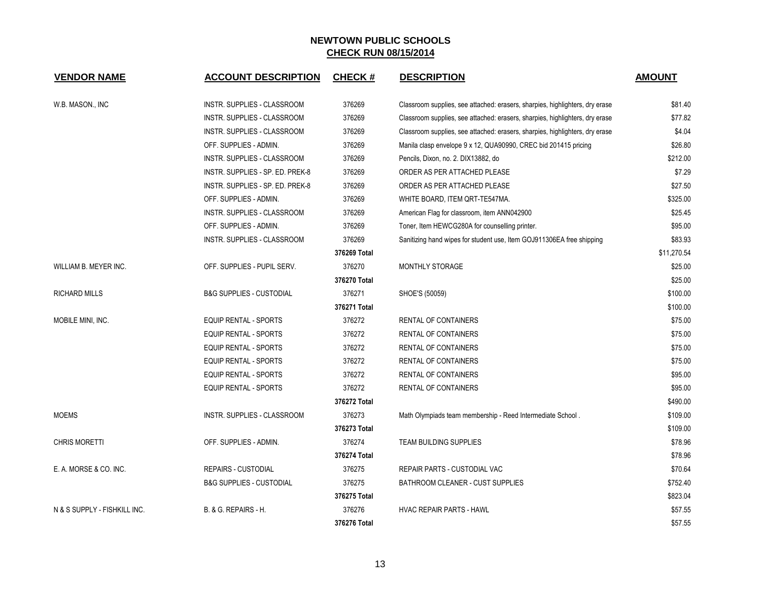| <b>VENDOR NAME</b>           | <b>ACCOUNT DESCRIPTION</b>          | <b>CHECK#</b> | <b>DESCRIPTION</b>                                                           | <b>AMOUNT</b> |
|------------------------------|-------------------------------------|---------------|------------------------------------------------------------------------------|---------------|
| W.B. MASON., INC             | INSTR. SUPPLIES - CLASSROOM         | 376269        | Classroom supplies, see attached: erasers, sharpies, highlighters, dry erase | \$81.40       |
|                              | INSTR. SUPPLIES - CLASSROOM         | 376269        | Classroom supplies, see attached: erasers, sharpies, highlighters, dry erase | \$77.82       |
|                              | INSTR. SUPPLIES - CLASSROOM         | 376269        | Classroom supplies, see attached: erasers, sharpies, highlighters, dry erase | \$4.04        |
|                              | OFF. SUPPLIES - ADMIN.              | 376269        | Manila clasp envelope 9 x 12, QUA90990, CREC bid 201415 pricing              | \$26.80       |
|                              | INSTR. SUPPLIES - CLASSROOM         | 376269        | Pencils, Dixon, no. 2. DIX13882, do                                          | \$212.00      |
|                              | INSTR. SUPPLIES - SP. ED. PREK-8    | 376269        | ORDER AS PER ATTACHED PLEASE                                                 | \$7.29        |
|                              | INSTR. SUPPLIES - SP. ED. PREK-8    | 376269        | ORDER AS PER ATTACHED PLEASE                                                 | \$27.50       |
|                              | OFF. SUPPLIES - ADMIN.              | 376269        | WHITE BOARD, ITEM QRT-TE547MA.                                               | \$325.00      |
|                              | INSTR. SUPPLIES - CLASSROOM         | 376269        | American Flag for classroom, item ANN042900                                  | \$25.45       |
|                              | OFF. SUPPLIES - ADMIN.              | 376269        | Toner, Item HEWCG280A for counselling printer.                               | \$95.00       |
|                              | INSTR. SUPPLIES - CLASSROOM         | 376269        | Sanitizing hand wipes for student use, Item GOJ911306EA free shipping        | \$83.93       |
|                              |                                     | 376269 Total  |                                                                              | \$11,270.54   |
| WILLIAM B. MEYER INC.        | OFF. SUPPLIES - PUPIL SERV.         | 376270        | MONTHLY STORAGE                                                              | \$25.00       |
|                              |                                     | 376270 Total  |                                                                              | \$25.00       |
| <b>RICHARD MILLS</b>         | <b>B&amp;G SUPPLIES - CUSTODIAL</b> | 376271        | SHOE'S (50059)                                                               | \$100.00      |
|                              |                                     | 376271 Total  |                                                                              | \$100.00      |
| MOBILE MINI, INC.            | EQUIP RENTAL - SPORTS               | 376272        | RENTAL OF CONTAINERS                                                         | \$75.00       |
|                              | <b>EQUIP RENTAL - SPORTS</b>        | 376272        | RENTAL OF CONTAINERS                                                         | \$75.00       |
|                              | <b>EQUIP RENTAL - SPORTS</b>        | 376272        | RENTAL OF CONTAINERS                                                         | \$75.00       |
|                              | <b>EQUIP RENTAL - SPORTS</b>        | 376272        | RENTAL OF CONTAINERS                                                         | \$75.00       |
|                              | <b>EQUIP RENTAL - SPORTS</b>        | 376272        | RENTAL OF CONTAINERS                                                         | \$95.00       |
|                              | <b>EQUIP RENTAL - SPORTS</b>        | 376272        | RENTAL OF CONTAINERS                                                         | \$95.00       |
|                              |                                     | 376272 Total  |                                                                              | \$490.00      |
| <b>MOEMS</b>                 | <b>INSTR. SUPPLIES - CLASSROOM</b>  | 376273        | Math Olympiads team membership - Reed Intermediate School.                   | \$109.00      |
|                              |                                     | 376273 Total  |                                                                              | \$109.00      |
| <b>CHRIS MORETTI</b>         | OFF. SUPPLIES - ADMIN.              | 376274        | <b>TEAM BUILDING SUPPLIES</b>                                                | \$78.96       |
|                              |                                     | 376274 Total  |                                                                              | \$78.96       |
| E. A. MORSE & CO. INC.       | <b>REPAIRS - CUSTODIAL</b>          | 376275        | REPAIR PARTS - CUSTODIAL VAC                                                 | \$70.64       |
|                              | <b>B&amp;G SUPPLIES - CUSTODIAL</b> | 376275        | BATHROOM CLEANER - CUST SUPPLIES                                             | \$752.40      |
|                              |                                     | 376275 Total  |                                                                              | \$823.04      |
| N & S SUPPLY - FISHKILL INC. | <b>B. &amp; G. REPAIRS - H.</b>     | 376276        | <b>HVAC REPAIR PARTS - HAWL</b>                                              | \$57.55       |
|                              |                                     | 376276 Total  |                                                                              | \$57.55       |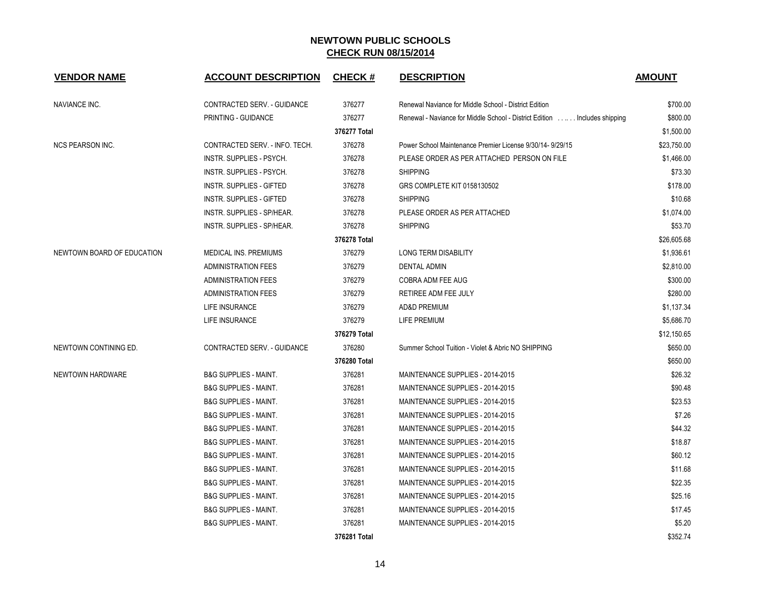| <b>VENDOR NAME</b>         | <b>ACCOUNT DESCRIPTION</b>       | <b>CHECK#</b> | <b>DESCRIPTION</b>                                                         | <b>AMOUNT</b> |
|----------------------------|----------------------------------|---------------|----------------------------------------------------------------------------|---------------|
| NAVIANCE INC.              | CONTRACTED SERV. - GUIDANCE      | 376277        | Renewal Naviance for Middle School - District Edition                      | \$700.00      |
|                            | PRINTING - GUIDANCE              | 376277        | Renewal - Naviance for Middle School - District Edition  Includes shipping | \$800.00      |
|                            |                                  | 376277 Total  |                                                                            | \$1,500.00    |
| <b>NCS PEARSON INC.</b>    | CONTRACTED SERV. - INFO. TECH.   | 376278        | Power School Maintenance Premier License 9/30/14- 9/29/15                  | \$23,750.00   |
|                            | INSTR. SUPPLIES - PSYCH.         | 376278        | PLEASE ORDER AS PER ATTACHED PERSON ON FILE                                | \$1,466.00    |
|                            | <b>INSTR. SUPPLIES - PSYCH.</b>  | 376278        | <b>SHIPPING</b>                                                            | \$73.30       |
|                            | <b>INSTR. SUPPLIES - GIFTED</b>  | 376278        | GRS COMPLETE KIT 0158130502                                                | \$178.00      |
|                            | INSTR. SUPPLIES - GIFTED         | 376278        | <b>SHIPPING</b>                                                            | \$10.68       |
|                            | INSTR. SUPPLIES - SP/HEAR.       | 376278        | PLEASE ORDER AS PER ATTACHED                                               | \$1,074.00    |
|                            | INSTR. SUPPLIES - SP/HEAR.       | 376278        | <b>SHIPPING</b>                                                            | \$53.70       |
|                            |                                  | 376278 Total  |                                                                            | \$26,605.68   |
| NEWTOWN BOARD OF EDUCATION | <b>MEDICAL INS. PREMIUMS</b>     | 376279        | <b>LONG TERM DISABILITY</b>                                                | \$1,936.61    |
|                            | ADMINISTRATION FEES              | 376279        | <b>DENTAL ADMIN</b>                                                        | \$2,810.00    |
|                            | <b>ADMINISTRATION FEES</b>       | 376279        | COBRA ADM FEE AUG                                                          | \$300.00      |
|                            | <b>ADMINISTRATION FEES</b>       | 376279        | RETIREE ADM FEE JULY                                                       | \$280.00      |
|                            | <b>LIFE INSURANCE</b>            | 376279        | AD&D PREMIUM                                                               | \$1,137.34    |
|                            | LIFE INSURANCE                   | 376279        | LIFE PREMIUM                                                               | \$5,686.70    |
|                            |                                  | 376279 Total  |                                                                            | \$12,150.65   |
| NEWTOWN CONTINING ED.      | CONTRACTED SERV. - GUIDANCE      | 376280        | Summer School Tuition - Violet & Abric NO SHIPPING                         | \$650.00      |
|                            |                                  | 376280 Total  |                                                                            | \$650.00      |
| NEWTOWN HARDWARE           | <b>B&amp;G SUPPLIES - MAINT.</b> | 376281        | MAINTENANCE SUPPLIES - 2014-2015                                           | \$26.32       |
|                            | <b>B&amp;G SUPPLIES - MAINT.</b> | 376281        | MAINTENANCE SUPPLIES - 2014-2015                                           | \$90.48       |
|                            | <b>B&amp;G SUPPLIES - MAINT.</b> | 376281        | MAINTENANCE SUPPLIES - 2014-2015                                           | \$23.53       |
|                            | <b>B&amp;G SUPPLIES - MAINT.</b> | 376281        | MAINTENANCE SUPPLIES - 2014-2015                                           | \$7.26        |
|                            | <b>B&amp;G SUPPLIES - MAINT.</b> | 376281        | MAINTENANCE SUPPLIES - 2014-2015                                           | \$44.32       |
|                            | <b>B&amp;G SUPPLIES - MAINT.</b> | 376281        | MAINTENANCE SUPPLIES - 2014-2015                                           | \$18.87       |
|                            | <b>B&amp;G SUPPLIES - MAINT.</b> | 376281        | MAINTENANCE SUPPLIES - 2014-2015                                           | \$60.12       |
|                            | <b>B&amp;G SUPPLIES - MAINT.</b> | 376281        | MAINTENANCE SUPPLIES - 2014-2015                                           | \$11.68       |
|                            | <b>B&amp;G SUPPLIES - MAINT.</b> | 376281        | MAINTENANCE SUPPLIES - 2014-2015                                           | \$22.35       |
|                            | <b>B&amp;G SUPPLIES - MAINT.</b> | 376281        | MAINTENANCE SUPPLIES - 2014-2015                                           | \$25.16       |
|                            | <b>B&amp;G SUPPLIES - MAINT.</b> | 376281        | MAINTENANCE SUPPLIES - 2014-2015                                           | \$17.45       |
|                            | <b>B&amp;G SUPPLIES - MAINT.</b> | 376281        | MAINTENANCE SUPPLIES - 2014-2015                                           | \$5.20        |
|                            |                                  | 376281 Total  |                                                                            | \$352.74      |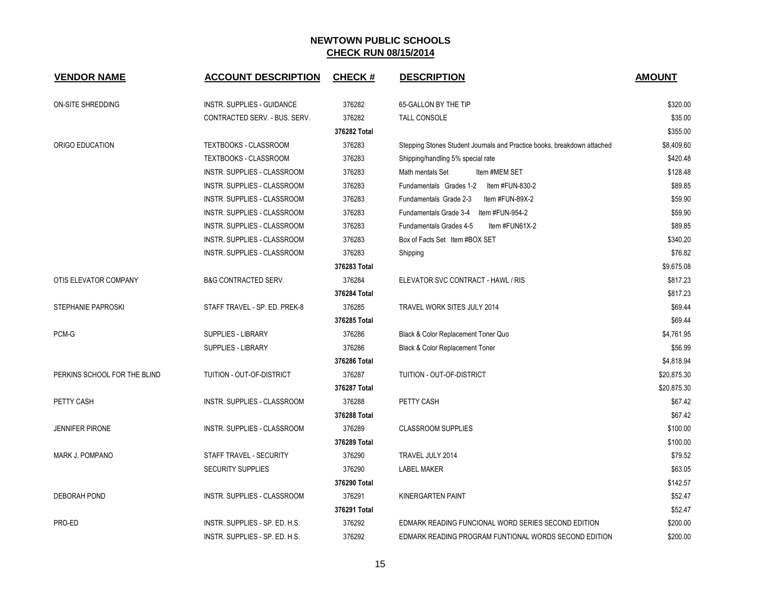| <b>VENDOR NAME</b>           | <b>ACCOUNT DESCRIPTION</b>        | <b>CHECK#</b> | <b>DESCRIPTION</b>                                                      | <b>AMOUNT</b> |
|------------------------------|-----------------------------------|---------------|-------------------------------------------------------------------------|---------------|
| ON-SITE SHREDDING            | <b>INSTR. SUPPLIES - GUIDANCE</b> | 376282        | 65-GALLON BY THE TIP                                                    | \$320.00      |
|                              | CONTRACTED SERV. - BUS. SERV.     | 376282        | <b>TALL CONSOLE</b>                                                     | \$35.00       |
|                              |                                   | 376282 Total  |                                                                         | \$355.00      |
| ORIGO EDUCATION              | TEXTBOOKS - CLASSROOM             | 376283        | Stepping Stones Student Journals and Practice books, breakdown attached | \$8,409.60    |
|                              | TEXTBOOKS - CLASSROOM             | 376283        | Shipping/handling 5% special rate                                       | \$420.48      |
|                              | INSTR. SUPPLIES - CLASSROOM       | 376283        | Item #MEM SET<br>Math mentals Set                                       | \$128.48      |
|                              | INSTR. SUPPLIES - CLASSROOM       | 376283        | Fundamentals Grades 1-2<br>ltem #FUN-830-2                              | \$89.85       |
|                              | INSTR. SUPPLIES - CLASSROOM       | 376283        | Fundamentals Grade 2-3<br>Item #FUN-89X-2                               | \$59.90       |
|                              | INSTR. SUPPLIES - CLASSROOM       | 376283        | Fundamentals Grade 3-4 Item #FUN-954-2                                  | \$59.90       |
|                              | INSTR. SUPPLIES - CLASSROOM       | 376283        | Fundamentals Grades 4-5<br>Item #FUN61X-2                               | \$89.85       |
|                              | INSTR. SUPPLIES - CLASSROOM       | 376283        | Box of Facts Set Item #BOX SET                                          | \$340.20      |
|                              | INSTR. SUPPLIES - CLASSROOM       | 376283        | Shipping                                                                | \$76.82       |
|                              |                                   | 376283 Total  |                                                                         | \$9,675.08    |
| OTIS ELEVATOR COMPANY        | <b>B&amp;G CONTRACTED SERV.</b>   | 376284        | ELEVATOR SVC CONTRACT - HAWL / RIS                                      | \$817.23      |
|                              |                                   | 376284 Total  |                                                                         | \$817.23      |
| STEPHANIE PAPROSKI           | STAFF TRAVEL - SP. ED. PREK-8     | 376285        | <b>TRAVEL WORK SITES JULY 2014</b>                                      | \$69.44       |
|                              |                                   | 376285 Total  |                                                                         | \$69.44       |
| PCM-G                        | SUPPLIES - LIBRARY                | 376286        | Black & Color Replacement Toner Quo                                     | \$4,761.95    |
|                              | SUPPLIES - LIBRARY                | 376286        | Black & Color Replacement Toner                                         | \$56.99       |
|                              |                                   | 376286 Total  |                                                                         | \$4,818.94    |
| PERKINS SCHOOL FOR THE BLIND | TUITION - OUT-OF-DISTRICT         | 376287        | TUITION - OUT-OF-DISTRICT                                               | \$20,875.30   |
|                              |                                   | 376287 Total  |                                                                         | \$20,875.30   |
| PETTY CASH                   | INSTR. SUPPLIES - CLASSROOM       | 376288        | PETTY CASH                                                              | \$67.42       |
|                              |                                   | 376288 Total  |                                                                         | \$67.42       |
| <b>JENNIFER PIRONE</b>       | INSTR. SUPPLIES - CLASSROOM       | 376289        | <b>CLASSROOM SUPPLIES</b>                                               | \$100.00      |
|                              |                                   | 376289 Total  |                                                                         | \$100.00      |
| <b>MARK J. POMPANO</b>       | STAFF TRAVEL - SECURITY           | 376290        | TRAVEL JULY 2014                                                        | \$79.52       |
|                              | <b>SECURITY SUPPLIES</b>          | 376290        | <b>LABEL MAKER</b>                                                      | \$63.05       |
|                              |                                   | 376290 Total  |                                                                         | \$142.57      |
| DEBORAH POND                 | INSTR. SUPPLIES - CLASSROOM       | 376291        | <b>KINERGARTEN PAINT</b>                                                | \$52.47       |
|                              |                                   | 376291 Total  |                                                                         | \$52.47       |
| PRO-ED                       | INSTR. SUPPLIES - SP. ED. H.S.    | 376292        | EDMARK READING FUNCIONAL WORD SERIES SECOND EDITION                     | \$200.00      |
|                              | INSTR. SUPPLIES - SP. ED. H.S.    | 376292        | EDMARK READING PROGRAM FUNTIONAL WORDS SECOND EDITION                   | \$200.00      |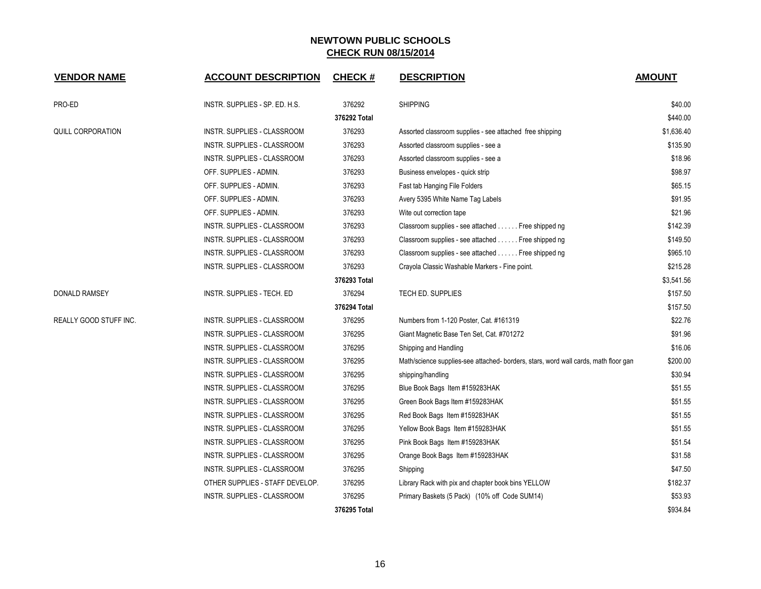| <b>VENDOR NAME</b>            | <b>ACCOUNT DESCRIPTION</b>         | <b>CHECK#</b> | <b>DESCRIPTION</b>                                                                  | <b>AMOUNT</b> |
|-------------------------------|------------------------------------|---------------|-------------------------------------------------------------------------------------|---------------|
| PRO-ED                        | INSTR. SUPPLIES - SP. ED. H.S.     | 376292        | <b>SHIPPING</b>                                                                     | \$40.00       |
|                               |                                    | 376292 Total  |                                                                                     | \$440.00      |
| QUILL CORPORATION             | INSTR. SUPPLIES - CLASSROOM        | 376293        | Assorted classroom supplies - see attached free shipping                            | \$1,636.40    |
|                               | INSTR. SUPPLIES - CLASSROOM        | 376293        | Assorted classroom supplies - see a                                                 | \$135.90      |
|                               | INSTR. SUPPLIES - CLASSROOM        | 376293        | Assorted classroom supplies - see a                                                 | \$18.96       |
|                               | OFF. SUPPLIES - ADMIN.             | 376293        | Business envelopes - quick strip                                                    | \$98.97       |
|                               | OFF. SUPPLIES - ADMIN.             | 376293        | Fast tab Hanging File Folders                                                       | \$65.15       |
|                               | OFF. SUPPLIES - ADMIN.             | 376293        | Avery 5395 White Name Tag Labels                                                    | \$91.95       |
|                               | OFF. SUPPLIES - ADMIN.             | 376293        | Wite out correction tape                                                            | \$21.96       |
|                               | INSTR. SUPPLIES - CLASSROOM        | 376293        | Classroom supplies - see attached Free shipped ng                                   | \$142.39      |
|                               | INSTR. SUPPLIES - CLASSROOM        | 376293        | Classroom supplies - see attached Free shipped ng                                   | \$149.50      |
|                               | INSTR. SUPPLIES - CLASSROOM        | 376293        | Classroom supplies - see attached Free shipped ng                                   | \$965.10      |
|                               | INSTR. SUPPLIES - CLASSROOM        | 376293        | Crayola Classic Washable Markers - Fine point.                                      | \$215.28      |
|                               |                                    | 376293 Total  |                                                                                     | \$3,541.56    |
| DONALD RAMSEY                 | INSTR. SUPPLIES - TECH. ED         | 376294        | TECH ED. SUPPLIES                                                                   | \$157.50      |
|                               |                                    | 376294 Total  |                                                                                     | \$157.50      |
| <b>REALLY GOOD STUFF INC.</b> | INSTR. SUPPLIES - CLASSROOM        | 376295        | Numbers from 1-120 Poster, Cat. #161319                                             | \$22.76       |
|                               | INSTR. SUPPLIES - CLASSROOM        | 376295        | Giant Magnetic Base Ten Set, Cat. #701272                                           | \$91.96       |
|                               | INSTR. SUPPLIES - CLASSROOM        | 376295        | Shipping and Handling                                                               | \$16.06       |
|                               | INSTR. SUPPLIES - CLASSROOM        | 376295        | Math/science supplies-see attached- borders, stars, word wall cards, math floor gan | \$200.00      |
|                               | INSTR. SUPPLIES - CLASSROOM        | 376295        | shipping/handling                                                                   | \$30.94       |
|                               | INSTR. SUPPLIES - CLASSROOM        | 376295        | Blue Book Bags Item #159283HAK                                                      | \$51.55       |
|                               | INSTR. SUPPLIES - CLASSROOM        | 376295        | Green Book Bags Item #159283HAK                                                     | \$51.55       |
|                               | INSTR. SUPPLIES - CLASSROOM        | 376295        | Red Book Bags Item #159283HAK                                                       | \$51.55       |
|                               | INSTR. SUPPLIES - CLASSROOM        | 376295        | Yellow Book Bags Item #159283HAK                                                    | \$51.55       |
|                               | <b>INSTR. SUPPLIES - CLASSROOM</b> | 376295        | Pink Book Bags Item #159283HAK                                                      | \$51.54       |
|                               | INSTR. SUPPLIES - CLASSROOM        | 376295        | Orange Book Bags Item #159283HAK                                                    | \$31.58       |
|                               | INSTR. SUPPLIES - CLASSROOM        | 376295        | Shipping                                                                            | \$47.50       |
|                               | OTHER SUPPLIES - STAFF DEVELOP.    | 376295        | Library Rack with pix and chapter book bins YELLOW                                  | \$182.37      |
|                               | INSTR. SUPPLIES - CLASSROOM        | 376295        | Primary Baskets (5 Pack) (10% off Code SUM14)                                       | \$53.93       |
|                               |                                    | 376295 Total  |                                                                                     | \$934.84      |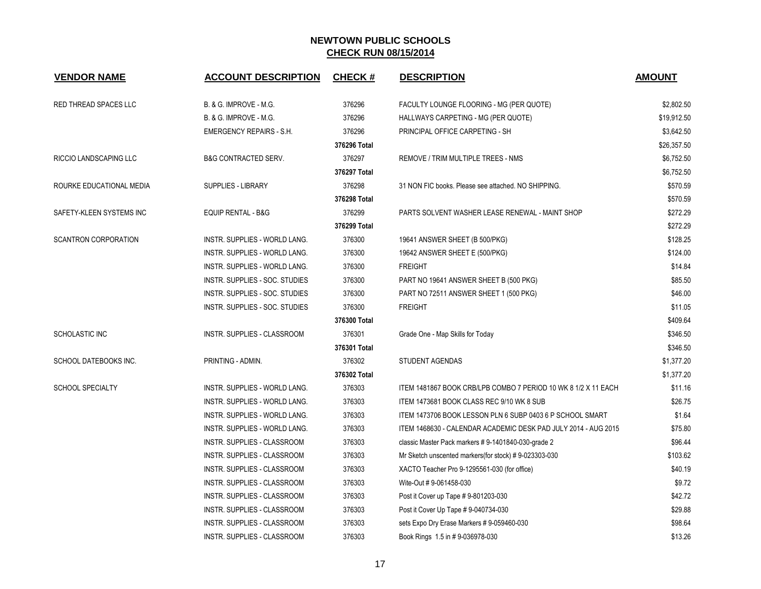| <b>VENDOR NAME</b>           | <b>ACCOUNT DESCRIPTION</b>           | <b>CHECK#</b> | <b>DESCRIPTION</b>                                             | <b>AMOUNT</b> |
|------------------------------|--------------------------------------|---------------|----------------------------------------------------------------|---------------|
| <b>RED THREAD SPACES LLC</b> | <b>B. &amp; G. IMPROVE - M.G.</b>    | 376296        | FACULTY LOUNGE FLOORING - MG (PER QUOTE)                       | \$2,802.50    |
|                              | B. & G. IMPROVE - M.G.               | 376296        | HALLWAYS CARPETING - MG (PER QUOTE)                            | \$19,912.50   |
|                              | <b>EMERGENCY REPAIRS - S.H.</b>      | 376296        | PRINCIPAL OFFICE CARPETING - SH                                | \$3,642.50    |
|                              |                                      | 376296 Total  |                                                                | \$26,357.50   |
| RICCIO LANDSCAPING LLC       | <b>B&amp;G CONTRACTED SERV.</b>      | 376297        | REMOVE / TRIM MULTIPLE TREES - NMS                             | \$6,752.50    |
|                              |                                      | 376297 Total  |                                                                | \$6,752.50    |
| ROURKE EDUCATIONAL MEDIA     | <b>SUPPLIES - LIBRARY</b>            | 376298        | 31 NON FIC books. Please see attached. NO SHIPPING.            | \$570.59      |
|                              |                                      | 376298 Total  |                                                                | \$570.59      |
| SAFETY-KLEEN SYSTEMS INC     | <b>EQUIP RENTAL - B&amp;G</b>        | 376299        | PARTS SOLVENT WASHER LEASE RENEWAL - MAINT SHOP                | \$272.29      |
|                              |                                      | 376299 Total  |                                                                | \$272.29      |
| <b>SCANTRON CORPORATION</b>  | INSTR. SUPPLIES - WORLD LANG.        | 376300        | 19641 ANSWER SHEET (B 500/PKG)                                 | \$128.25      |
|                              | <b>INSTR. SUPPLIES - WORLD LANG.</b> | 376300        | 19642 ANSWER SHEET E (500/PKG)                                 | \$124.00      |
|                              | INSTR. SUPPLIES - WORLD LANG.        | 376300        | <b>FREIGHT</b>                                                 | \$14.84       |
|                              | INSTR. SUPPLIES - SOC. STUDIES       | 376300        | PART NO 19641 ANSWER SHEET B (500 PKG)                         | \$85.50       |
|                              | INSTR. SUPPLIES - SOC. STUDIES       | 376300        | PART NO 72511 ANSWER SHEET 1 (500 PKG)                         | \$46.00       |
|                              | INSTR. SUPPLIES - SOC. STUDIES       | 376300        | <b>FREIGHT</b>                                                 | \$11.05       |
|                              |                                      | 376300 Total  |                                                                | \$409.64      |
| <b>SCHOLASTIC INC</b>        | INSTR. SUPPLIES - CLASSROOM          | 376301        | Grade One - Map Skills for Today                               | \$346.50      |
|                              |                                      | 376301 Total  |                                                                | \$346.50      |
| SCHOOL DATEBOOKS INC.        | PRINTING - ADMIN.                    | 376302        | <b>STUDENT AGENDAS</b>                                         | \$1,377.20    |
|                              |                                      | 376302 Total  |                                                                | \$1,377.20    |
| <b>SCHOOL SPECIALTY</b>      | INSTR. SUPPLIES - WORLD LANG.        | 376303        | ITEM 1481867 BOOK CRB/LPB COMBO 7 PERIOD 10 WK 8 1/2 X 11 EACH | \$11.16       |
|                              | INSTR. SUPPLIES - WORLD LANG.        | 376303        | ITEM 1473681 BOOK CLASS REC 9/10 WK 8 SUB                      | \$26.75       |
|                              | INSTR. SUPPLIES - WORLD LANG.        | 376303        | ITEM 1473706 BOOK LESSON PLN 6 SUBP 0403 6 P SCHOOL SMART      | \$1.64        |
|                              | INSTR. SUPPLIES - WORLD LANG.        | 376303        | ITEM 1468630 - CALENDAR ACADEMIC DESK PAD JULY 2014 - AUG 2015 | \$75.80       |
|                              | INSTR. SUPPLIES - CLASSROOM          | 376303        | classic Master Pack markers #9-1401840-030-grade 2             | \$96.44       |
|                              | <b>INSTR. SUPPLIES - CLASSROOM</b>   | 376303        | Mr Sketch unscented markers(for stock) #9-023303-030           | \$103.62      |
|                              | INSTR. SUPPLIES - CLASSROOM          | 376303        | XACTO Teacher Pro 9-1295561-030 (for office)                   | \$40.19       |
|                              | INSTR. SUPPLIES - CLASSROOM          | 376303        | Wite-Out #9-061458-030                                         | \$9.72        |
|                              | INSTR. SUPPLIES - CLASSROOM          | 376303        | Post it Cover up Tape # 9-801203-030                           | \$42.72       |
|                              | INSTR. SUPPLIES - CLASSROOM          | 376303        | Post it Cover Up Tape # 9-040734-030                           | \$29.88       |
|                              | INSTR. SUPPLIES - CLASSROOM          | 376303        | sets Expo Dry Erase Markers # 9-059460-030                     | \$98.64       |
|                              | INSTR. SUPPLIES - CLASSROOM          | 376303        | Book Rings 1.5 in #9-036978-030                                | \$13.26       |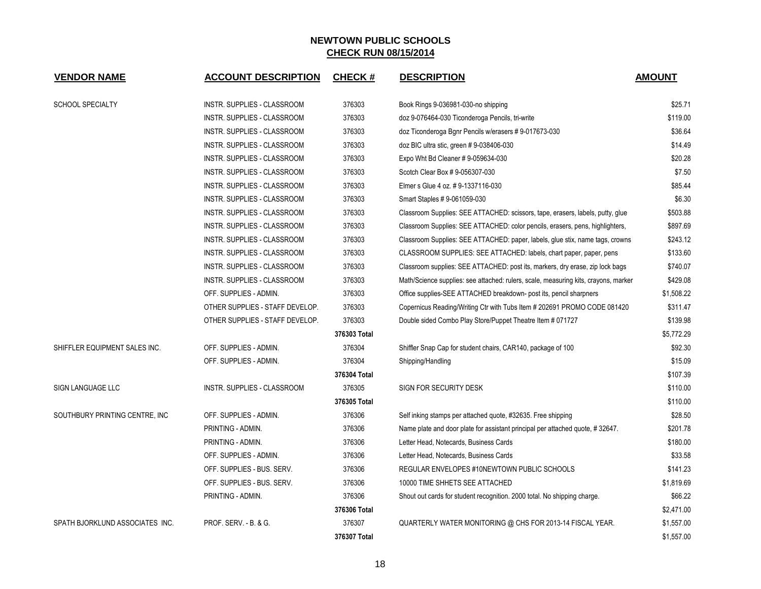| <b>VENDOR NAME</b>              | <b>ACCOUNT DESCRIPTION</b>       | <b>CHECK#</b> | <b>DESCRIPTION</b>                                                                  | <b>AMOUNT</b> |
|---------------------------------|----------------------------------|---------------|-------------------------------------------------------------------------------------|---------------|
| <b>SCHOOL SPECIALTY</b>         | INSTR. SUPPLIES - CLASSROOM      | 376303        | Book Rings 9-036981-030-no shipping                                                 | \$25.71       |
|                                 | INSTR. SUPPLIES - CLASSROOM      | 376303        | doz 9-076464-030 Ticonderoga Pencils, tri-write                                     | \$119.00      |
|                                 | INSTR. SUPPLIES - CLASSROOM      | 376303        | doz Ticonderoga Bgnr Pencils w/erasers #9-017673-030                                | \$36.64       |
|                                 | INSTR. SUPPLIES - CLASSROOM      | 376303        | doz BIC ultra stic, green #9-038406-030                                             | \$14.49       |
|                                 | INSTR. SUPPLIES - CLASSROOM      | 376303        | Expo Wht Bd Cleaner # 9-059634-030                                                  | \$20.28       |
|                                 | INSTR. SUPPLIES - CLASSROOM      | 376303        | Scotch Clear Box # 9-056307-030                                                     | \$7.50        |
|                                 | INSTR. SUPPLIES - CLASSROOM      | 376303        | Elmer s Glue 4 oz. # 9-1337116-030                                                  | \$85.44       |
|                                 | INSTR. SUPPLIES - CLASSROOM      | 376303        | Smart Staples #9-061059-030                                                         | \$6.30        |
|                                 | INSTR. SUPPLIES - CLASSROOM      | 376303        | Classroom Supplies: SEE ATTACHED: scissors, tape, erasers, labels, putty, glue      | \$503.88      |
|                                 | INSTR. SUPPLIES - CLASSROOM      | 376303        | Classroom Supplies: SEE ATTACHED: color pencils, erasers, pens, highlighters,       | \$897.69      |
|                                 | INSTR. SUPPLIES - CLASSROOM      | 376303        | Classroom Supplies: SEE ATTACHED: paper, labels, glue stix, name tags, crowns       | \$243.12      |
|                                 | INSTR. SUPPLIES - CLASSROOM      | 376303        | CLASSROOM SUPPLIES: SEE ATTACHED: labels, chart paper, paper, pens                  | \$133.60      |
|                                 | INSTR. SUPPLIES - CLASSROOM      | 376303        | Classroom supplies: SEE ATTACHED: post its, markers, dry erase, zip lock bags       | \$740.07      |
|                                 | INSTR. SUPPLIES - CLASSROOM      | 376303        | Math/Science supplies: see attached: rulers, scale, measuring kits, crayons, marker | \$429.08      |
|                                 | OFF. SUPPLIES - ADMIN.           | 376303        | Office supplies-SEE ATTACHED breakdown- post its, pencil sharpners                  | \$1,508.22    |
|                                 | OTHER SUPPLIES - STAFF DEVELOP.  | 376303        | Copernicus Reading/Writing Ctr with Tubs Item # 202691 PROMO CODE 081420            | \$311.47      |
|                                 | OTHER SUPPLIES - STAFF DEVELOP.  | 376303        | Double sided Combo Play Store/Puppet Theatre Item # 071727                          | \$139.98      |
|                                 |                                  | 376303 Total  |                                                                                     | \$5,772.29    |
| SHIFFLER EQUIPMENT SALES INC.   | OFF. SUPPLIES - ADMIN.           | 376304        | Shiffler Snap Cap for student chairs, CAR140, package of 100                        | \$92.30       |
|                                 | OFF. SUPPLIES - ADMIN.           | 376304        | Shipping/Handling                                                                   | \$15.09       |
|                                 |                                  | 376304 Total  |                                                                                     | \$107.39      |
| SIGN LANGUAGE LLC               | INSTR. SUPPLIES - CLASSROOM      | 376305        | SIGN FOR SECURITY DESK                                                              | \$110.00      |
|                                 |                                  | 376305 Total  |                                                                                     | \$110.00      |
| SOUTHBURY PRINTING CENTRE, INC. | OFF. SUPPLIES - ADMIN.           | 376306        | Self inking stamps per attached quote, #32635. Free shipping                        | \$28.50       |
|                                 | PRINTING - ADMIN.                | 376306        | Name plate and door plate for assistant principal per attached quote, #32647.       | \$201.78      |
|                                 | PRINTING - ADMIN.                | 376306        | Letter Head, Notecards, Business Cards                                              | \$180.00      |
|                                 | OFF. SUPPLIES - ADMIN.           | 376306        | Letter Head, Notecards, Business Cards                                              | \$33.58       |
|                                 | OFF. SUPPLIES - BUS. SERV.       | 376306        | REGULAR ENVELOPES #10NEWTOWN PUBLIC SCHOOLS                                         | \$141.23      |
|                                 | OFF. SUPPLIES - BUS. SERV.       | 376306        | 10000 TIME SHHETS SEE ATTACHED                                                      | \$1,819.69    |
|                                 | PRINTING - ADMIN.                | 376306        | Shout out cards for student recognition. 2000 total. No shipping charge.            | \$66.22       |
|                                 |                                  | 376306 Total  |                                                                                     | \$2,471.00    |
| SPATH BJORKLUND ASSOCIATES INC. | <b>PROF. SERV. - B. &amp; G.</b> | 376307        | QUARTERLY WATER MONITORING @ CHS FOR 2013-14 FISCAL YEAR.                           | \$1,557.00    |
|                                 |                                  | 376307 Total  |                                                                                     | \$1,557.00    |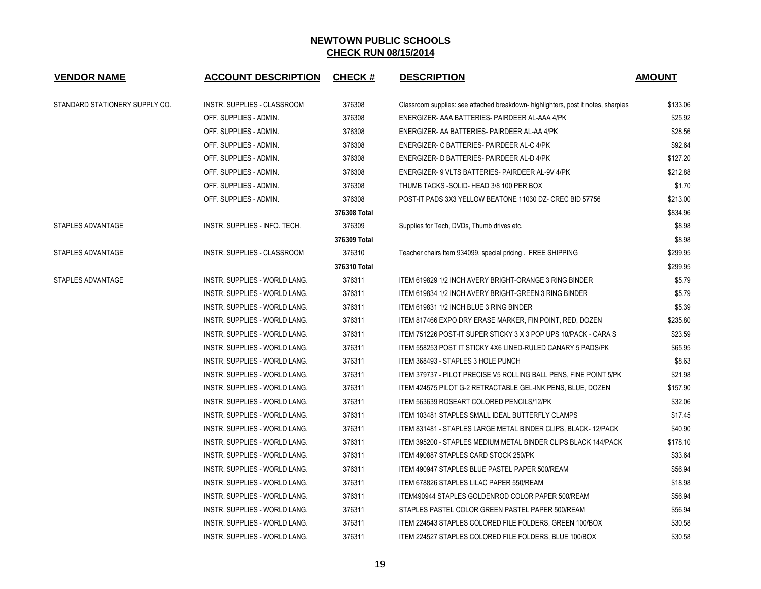| <b>VENDOR NAME</b>             | <b>ACCOUNT DESCRIPTION</b>    | <b>CHECK#</b> | <b>DESCRIPTION</b>                                                                | <b>AMOUNT</b> |
|--------------------------------|-------------------------------|---------------|-----------------------------------------------------------------------------------|---------------|
| STANDARD STATIONERY SUPPLY CO. | INSTR. SUPPLIES - CLASSROOM   | 376308        | Classroom supplies: see attached breakdown- highlighters, post it notes, sharpies | \$133.06      |
|                                | OFF. SUPPLIES - ADMIN.        | 376308        | ENERGIZER- AAA BATTERIES- PAIRDEER AL-AAA 4/PK                                    | \$25.92       |
|                                | OFF. SUPPLIES - ADMIN.        | 376308        | ENERGIZER- AA BATTERIES- PAIRDEER AL-AA 4/PK                                      | \$28.56       |
|                                | OFF. SUPPLIES - ADMIN.        | 376308        | ENERGIZER- C BATTERIES- PAIRDEER AL-C 4/PK                                        | \$92.64       |
|                                | OFF. SUPPLIES - ADMIN.        | 376308        | ENERGIZER- D BATTERIES- PAIRDEER AL-D 4/PK                                        | \$127.20      |
|                                | OFF. SUPPLIES - ADMIN.        | 376308        | ENERGIZER- 9 VLTS BATTERIES- PAIRDEER AL-9V 4/PK                                  | \$212.88      |
|                                | OFF. SUPPLIES - ADMIN.        | 376308        | THUMB TACKS - SOLID- HEAD 3/8 100 PER BOX                                         | \$1.70        |
|                                | OFF. SUPPLIES - ADMIN.        | 376308        | POST-IT PADS 3X3 YELLOW BEATONE 11030 DZ- CREC BID 57756                          | \$213.00      |
|                                |                               | 376308 Total  |                                                                                   | \$834.96      |
| STAPLES ADVANTAGE              | INSTR. SUPPLIES - INFO. TECH. | 376309        | Supplies for Tech, DVDs, Thumb drives etc.                                        | \$8.98        |
|                                |                               | 376309 Total  |                                                                                   | \$8.98        |
| STAPLES ADVANTAGE              | INSTR. SUPPLIES - CLASSROOM   | 376310        | Teacher chairs Item 934099, special pricing. FREE SHIPPING                        | \$299.95      |
|                                |                               | 376310 Total  |                                                                                   | \$299.95      |
| STAPLES ADVANTAGE              | INSTR. SUPPLIES - WORLD LANG. | 376311        | ITEM 619829 1/2 INCH AVERY BRIGHT-ORANGE 3 RING BINDER                            | \$5.79        |
|                                | INSTR. SUPPLIES - WORLD LANG. | 376311        | ITEM 619834 1/2 INCH AVERY BRIGHT-GREEN 3 RING BINDER                             | \$5.79        |
|                                | INSTR. SUPPLIES - WORLD LANG. | 376311        | ITEM 619831 1/2 INCH BLUE 3 RING BINDER                                           | \$5.39        |
|                                | INSTR. SUPPLIES - WORLD LANG. | 376311        | ITEM 817466 EXPO DRY ERASE MARKER, FIN POINT, RED, DOZEN                          | \$235.80      |
|                                | INSTR. SUPPLIES - WORLD LANG. | 376311        | ITEM 751226 POST-IT SUPER STICKY 3 X 3 POP UPS 10/PACK - CARA S                   | \$23.59       |
|                                | INSTR. SUPPLIES - WORLD LANG. | 376311        | ITEM 558253 POST IT STICKY 4X6 LINED-RULED CANARY 5 PADS/PK                       | \$65.95       |
|                                | INSTR. SUPPLIES - WORLD LANG. | 376311        | ITEM 368493 - STAPLES 3 HOLE PUNCH                                                | \$8.63        |
|                                | INSTR. SUPPLIES - WORLD LANG. | 376311        | ITEM 379737 - PILOT PRECISE V5 ROLLING BALL PENS, FINE POINT 5/PK                 | \$21.98       |
|                                | INSTR. SUPPLIES - WORLD LANG. | 376311        | ITEM 424575 PILOT G-2 RETRACTABLE GEL-INK PENS, BLUE, DOZEN                       | \$157.90      |
|                                | INSTR. SUPPLIES - WORLD LANG. | 376311        | ITEM 563639 ROSEART COLORED PENCILS/12/PK                                         | \$32.06       |
|                                | INSTR. SUPPLIES - WORLD LANG. | 376311        | ITEM 103481 STAPLES SMALL IDEAL BUTTERFLY CLAMPS                                  | \$17.45       |
|                                | INSTR. SUPPLIES - WORLD LANG. | 376311        | ITEM 831481 - STAPLES LARGE METAL BINDER CLIPS, BLACK-12/PACK                     | \$40.90       |
|                                | INSTR. SUPPLIES - WORLD LANG. | 376311        | ITEM 395200 - STAPLES MEDIUM METAL BINDER CLIPS BLACK 144/PACK                    | \$178.10      |
|                                | INSTR. SUPPLIES - WORLD LANG. | 376311        | ITEM 490887 STAPLES CARD STOCK 250/PK                                             | \$33.64       |
|                                | INSTR. SUPPLIES - WORLD LANG. | 376311        | ITEM 490947 STAPLES BLUE PASTEL PAPER 500/REAM                                    | \$56.94       |
|                                | INSTR. SUPPLIES - WORLD LANG. | 376311        | ITEM 678826 STAPLES LILAC PAPER 550/REAM                                          | \$18.98       |
|                                | INSTR. SUPPLIES - WORLD LANG. | 376311        | ITEM490944 STAPLES GOLDENROD COLOR PAPER 500/REAM                                 | \$56.94       |
|                                | INSTR. SUPPLIES - WORLD LANG. | 376311        | STAPLES PASTEL COLOR GREEN PASTEL PAPER 500/REAM                                  | \$56.94       |
|                                | INSTR. SUPPLIES - WORLD LANG. | 376311        | ITEM 224543 STAPLES COLORED FILE FOLDERS, GREEN 100/BOX                           | \$30.58       |
|                                | INSTR. SUPPLIES - WORLD LANG. | 376311        | ITEM 224527 STAPLES COLORED FILE FOLDERS, BLUE 100/BOX                            | \$30.58       |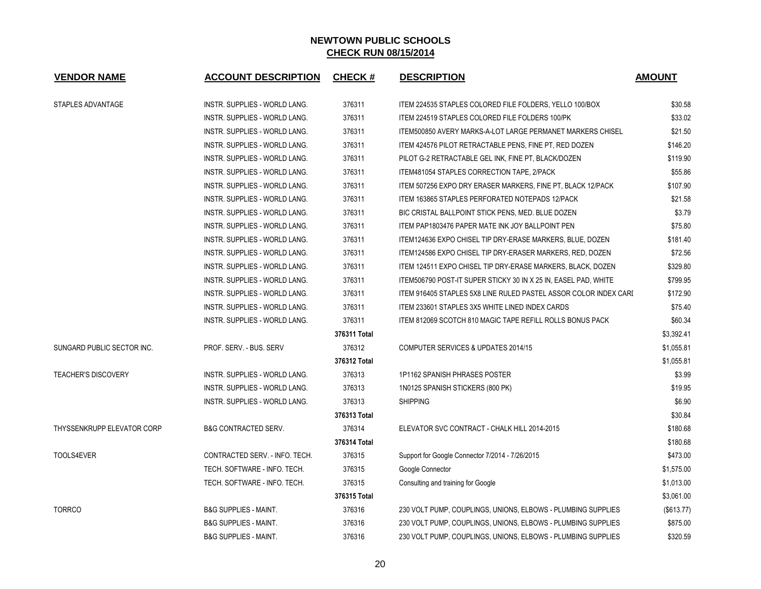| <b>VENDOR NAME</b>         | <b>ACCOUNT DESCRIPTION</b>       | <b>CHECK#</b> | <b>DESCRIPTION</b>                                               | <b>AMOUNT</b> |
|----------------------------|----------------------------------|---------------|------------------------------------------------------------------|---------------|
| STAPLES ADVANTAGE          | INSTR. SUPPLIES - WORLD LANG.    | 376311        | ITEM 224535 STAPLES COLORED FILE FOLDERS, YELLO 100/BOX          | \$30.58       |
|                            | INSTR. SUPPLIES - WORLD LANG.    | 376311        | ITEM 224519 STAPLES COLORED FILE FOLDERS 100/PK                  | \$33.02       |
|                            | INSTR. SUPPLIES - WORLD LANG.    | 376311        | ITEM500850 AVERY MARKS-A-LOT LARGE PERMANET MARKERS CHISEL       | \$21.50       |
|                            | INSTR. SUPPLIES - WORLD LANG.    | 376311        | ITEM 424576 PILOT RETRACTABLE PENS, FINE PT, RED DOZEN           | \$146.20      |
|                            | INSTR. SUPPLIES - WORLD LANG.    | 376311        | PILOT G-2 RETRACTABLE GEL INK, FINE PT, BLACK/DOZEN              | \$119.90      |
|                            | INSTR. SUPPLIES - WORLD LANG.    | 376311        | ITEM481054 STAPLES CORRECTION TAPE, 2/PACK                       | \$55.86       |
|                            | INSTR. SUPPLIES - WORLD LANG.    | 376311        | ITEM 507256 EXPO DRY ERASER MARKERS, FINE PT, BLACK 12/PACK      | \$107.90      |
|                            | INSTR. SUPPLIES - WORLD LANG.    | 376311        | ITEM 163865 STAPLES PERFORATED NOTEPADS 12/PACK                  | \$21.58       |
|                            | INSTR. SUPPLIES - WORLD LANG.    | 376311        | BIC CRISTAL BALLPOINT STICK PENS, MED. BLUE DOZEN                | \$3.79        |
|                            | INSTR. SUPPLIES - WORLD LANG.    | 376311        | ITEM PAP1803476 PAPER MATE INK JOY BALLPOINT PEN                 | \$75.80       |
|                            | INSTR. SUPPLIES - WORLD LANG.    | 376311        | ITEM124636 EXPO CHISEL TIP DRY-ERASE MARKERS, BLUE, DOZEN        | \$181.40      |
|                            | INSTR. SUPPLIES - WORLD LANG.    | 376311        | ITEM124586 EXPO CHISEL TIP DRY-ERASER MARKERS, RED, DOZEN        | \$72.56       |
|                            | INSTR. SUPPLIES - WORLD LANG.    | 376311        | ITEM 124511 EXPO CHISEL TIP DRY-ERASE MARKERS, BLACK, DOZEN      | \$329.80      |
|                            | INSTR. SUPPLIES - WORLD LANG.    | 376311        | ITEM506790 POST-IT SUPER STICKY 30 IN X 25 IN, EASEL PAD, WHITE  | \$799.95      |
|                            | INSTR. SUPPLIES - WORLD LANG.    | 376311        | ITEM 916405 STAPLES 5X8 LINE RULED PASTEL ASSOR COLOR INDEX CARI | \$172.90      |
|                            | INSTR. SUPPLIES - WORLD LANG.    | 376311        | ITEM 233601 STAPLES 3X5 WHITE LINED INDEX CARDS                  | \$75.40       |
|                            | INSTR. SUPPLIES - WORLD LANG.    | 376311        | ITEM 812069 SCOTCH 810 MAGIC TAPE REFILL ROLLS BONUS PACK        | \$60.34       |
|                            |                                  | 376311 Total  |                                                                  | \$3,392.41    |
| SUNGARD PUBLIC SECTOR INC. | PROF. SERV. - BUS. SERV          | 376312        | COMPUTER SERVICES & UPDATES 2014/15                              | \$1,055.81    |
|                            |                                  | 376312 Total  |                                                                  | \$1,055.81    |
| <b>TEACHER'S DISCOVERY</b> | INSTR. SUPPLIES - WORLD LANG.    | 376313        | 1P1162 SPANISH PHRASES POSTER                                    | \$3.99        |
|                            | INSTR. SUPPLIES - WORLD LANG.    | 376313        | 1N0125 SPANISH STICKERS (800 PK)                                 | \$19.95       |
|                            | INSTR. SUPPLIES - WORLD LANG.    | 376313        | <b>SHIPPING</b>                                                  | \$6.90        |
|                            |                                  | 376313 Total  |                                                                  | \$30.84       |
| THYSSENKRUPP ELEVATOR CORP | <b>B&amp;G CONTRACTED SERV.</b>  | 376314        | ELEVATOR SVC CONTRACT - CHALK HILL 2014-2015                     | \$180.68      |
|                            |                                  | 376314 Total  |                                                                  | \$180.68      |
| TOOLS4EVER                 | CONTRACTED SERV. - INFO. TECH.   | 376315        | Support for Google Connector 7/2014 - 7/26/2015                  | \$473.00      |
|                            | TECH. SOFTWARE - INFO. TECH.     | 376315        | Google Connector                                                 | \$1,575.00    |
|                            | TECH. SOFTWARE - INFO. TECH.     | 376315        | Consulting and training for Google                               | \$1,013.00    |
|                            |                                  | 376315 Total  |                                                                  | \$3,061.00    |
| <b>TORRCO</b>              | <b>B&amp;G SUPPLIES - MAINT.</b> | 376316        | 230 VOLT PUMP, COUPLINGS, UNIONS, ELBOWS - PLUMBING SUPPLIES     | (\$613.77)    |
|                            | <b>B&amp;G SUPPLIES - MAINT.</b> | 376316        | 230 VOLT PUMP, COUPLINGS, UNIONS, ELBOWS - PLUMBING SUPPLIES     | \$875.00      |
|                            | <b>B&amp;G SUPPLIES - MAINT.</b> | 376316        | 230 VOLT PUMP, COUPLINGS, UNIONS, ELBOWS - PLUMBING SUPPLIES     | \$320.59      |